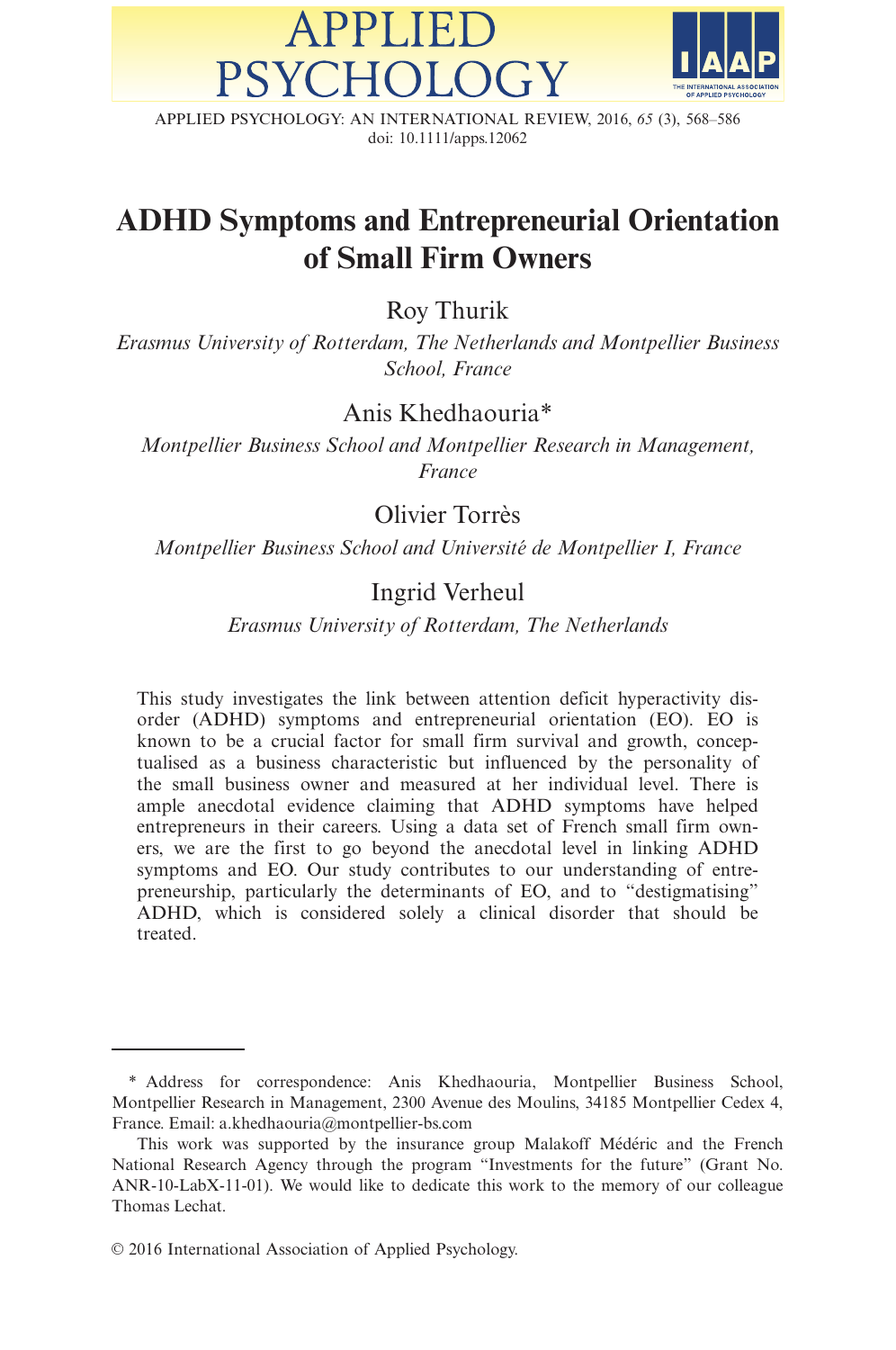

APPLIED PSYCHOLOGY: AN INTERNATIONAL REVIEW, 2016, 65 (3), 568–586 doi: 10.1111/apps.12062

**APPLIED** 

PSYCHOLOGY

# ADHD Symptoms and Entrepreneurial Orientation of Small Firm Owners

Roy Thurik

Erasmus University of Rotterdam, The Netherlands and Montpellier Business School, France

Anis Khedhaouria\*

Montpellier Business School and Montpellier Research in Management, France

Olivier Torrès

Montpellier Business School and Université de Montpellier I, France

### Ingrid Verheul

Erasmus University of Rotterdam, The Netherlands

This study investigates the link between attention deficit hyperactivity disorder (ADHD) symptoms and entrepreneurial orientation (EO). EO is known to be a crucial factor for small firm survival and growth, conceptualised as a business characteristic but influenced by the personality of the small business owner and measured at her individual level. There is ample anecdotal evidence claiming that ADHD symptoms have helped entrepreneurs in their careers. Using a data set of French small firm owners, we are the first to go beyond the anecdotal level in linking ADHD symptoms and EO. Our study contributes to our understanding of entrepreneurship, particularly the determinants of EO, and to "destigmatising" ADHD, which is considered solely a clinical disorder that should be treated.

<sup>\*</sup> Address for correspondence: Anis Khedhaouria, Montpellier Business School, Montpellier Research in Management, 2300 Avenue des Moulins, 34185 Montpellier Cedex 4, France. Email: a.khedhaouria@montpellier-bs.com

This work was supported by the insurance group Malakoff Médéric and the French National Research Agency through the program "Investments for the future" (Grant No. ANR-10-LabX-11-01). We would like to dedicate this work to the memory of our colleague Thomas Lechat.

 $\odot$  2016 International Association of Applied Psychology.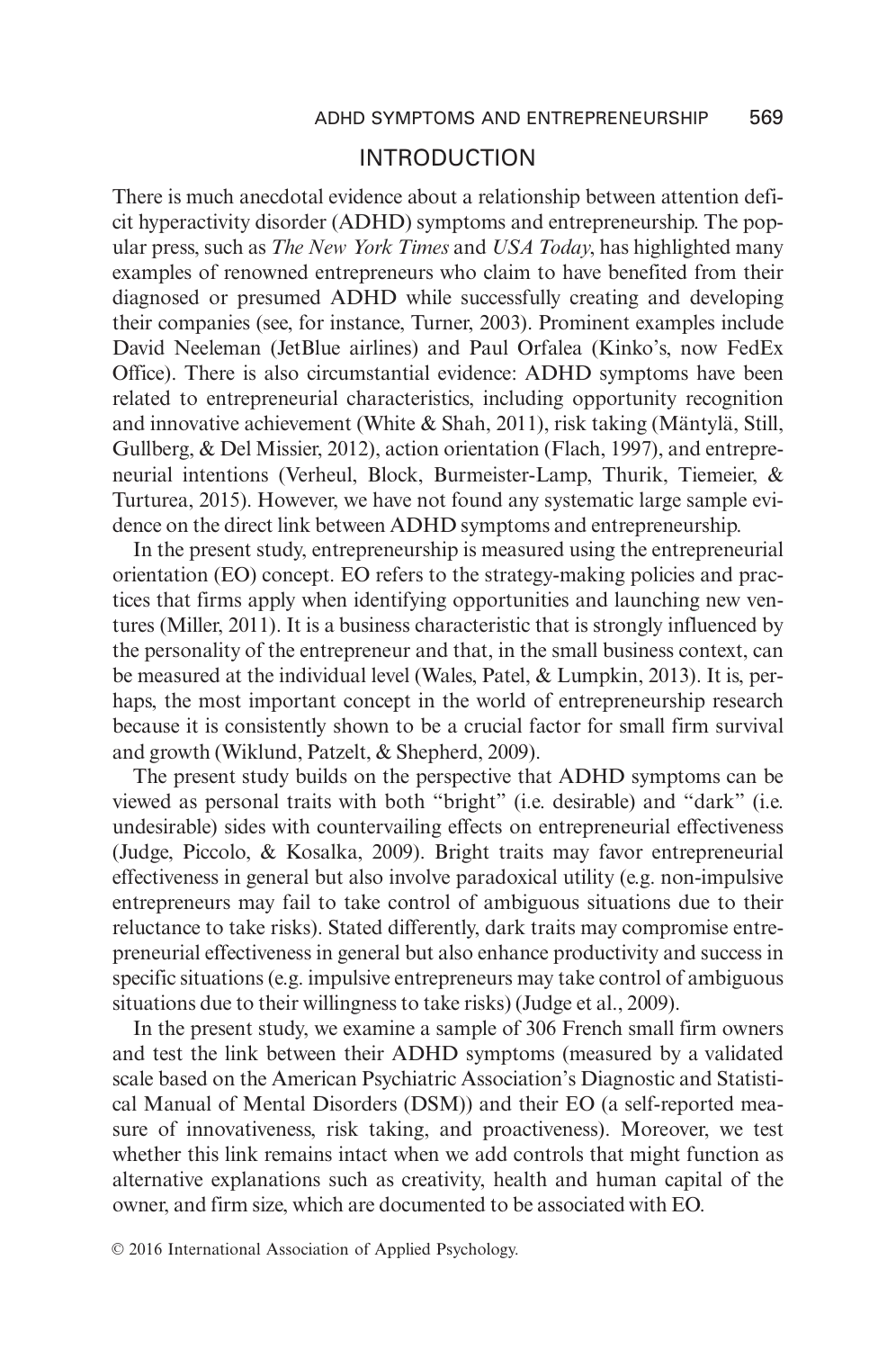#### INTRODUCTION

There is much anecdotal evidence about a relationship between attention deficit hyperactivity disorder (ADHD) symptoms and entrepreneurship. The popular press, such as *The New York Times* and *USA Today*, has highlighted many examples of renowned entrepreneurs who claim to have benefited from their diagnosed or presumed ADHD while successfully creating and developing their companies (see, for instance, Turner, 2003). Prominent examples include David Neeleman (JetBlue airlines) and Paul Orfalea (Kinko's, now FedEx Office). There is also circumstantial evidence: ADHD symptoms have been related to entrepreneurial characteristics, including opportunity recognition and innovative achievement (White & Shah, 2011), risk taking (Mäntylä, Still, Gullberg, & Del Missier, 2012), action orientation (Flach, 1997), and entrepreneurial intentions (Verheul, Block, Burmeister-Lamp, Thurik, Tiemeier, & Turturea, 2015). However, we have not found any systematic large sample evidence on the direct link between ADHD symptoms and entrepreneurship.

In the present study, entrepreneurship is measured using the entrepreneurial orientation (EO) concept. EO refers to the strategy-making policies and practices that firms apply when identifying opportunities and launching new ventures (Miller, 2011). It is a business characteristic that is strongly influenced by the personality of the entrepreneur and that, in the small business context, can be measured at the individual level (Wales, Patel, & Lumpkin, 2013). It is, perhaps, the most important concept in the world of entrepreneurship research because it is consistently shown to be a crucial factor for small firm survival and growth (Wiklund, Patzelt, & Shepherd, 2009).

The present study builds on the perspective that ADHD symptoms can be viewed as personal traits with both "bright" (i.e. desirable) and "dark" (i.e. undesirable) sides with countervailing effects on entrepreneurial effectiveness (Judge, Piccolo, & Kosalka, 2009). Bright traits may favor entrepreneurial effectiveness in general but also involve paradoxical utility (e.g. non-impulsive entrepreneurs may fail to take control of ambiguous situations due to their reluctance to take risks). Stated differently, dark traits may compromise entrepreneurial effectiveness in general but also enhance productivity and success in specific situations (e.g. impulsive entrepreneurs may take control of ambiguous situations due to their willingness to take risks) (Judge et al., 2009).

In the present study, we examine a sample of 306 French small firm owners and test the link between their ADHD symptoms (measured by a validated scale based on the American Psychiatric Association's Diagnostic and Statistical Manual of Mental Disorders (DSM)) and their EO (a self-reported measure of innovativeness, risk taking, and proactiveness). Moreover, we test whether this link remains intact when we add controls that might function as alternative explanations such as creativity, health and human capital of the owner, and firm size, which are documented to be associated with EO.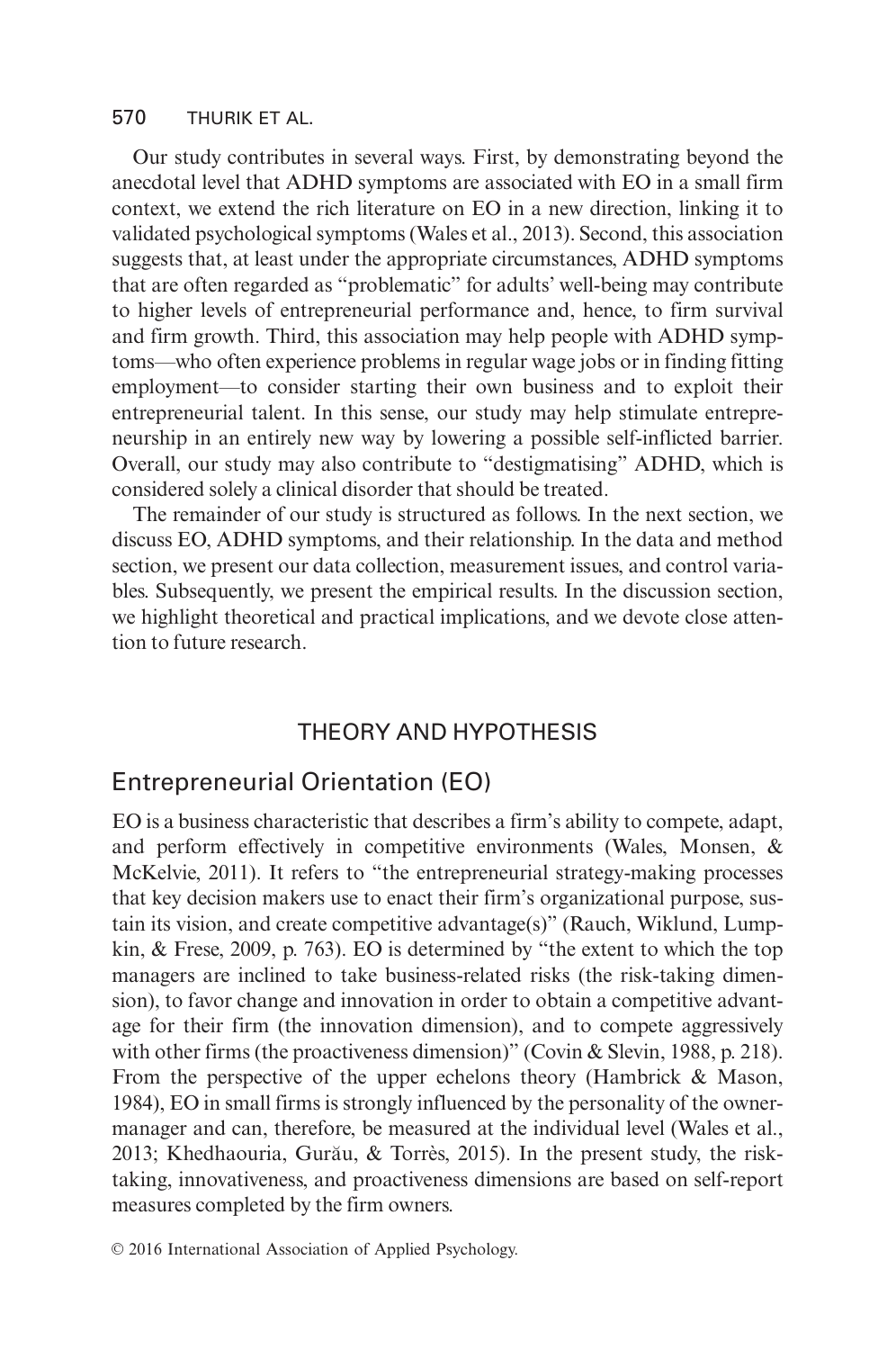Our study contributes in several ways. First, by demonstrating beyond the anecdotal level that ADHD symptoms are associated with EO in a small firm context, we extend the rich literature on EO in a new direction, linking it to validated psychological symptoms (Wales et al., 2013). Second, this association suggests that, at least under the appropriate circumstances, ADHD symptoms that are often regarded as "problematic" for adults' well-being may contribute to higher levels of entrepreneurial performance and, hence, to firm survival and firm growth. Third, this association may help people with ADHD symptoms—who often experience problems in regular wage jobs or in finding fitting employment—to consider starting their own business and to exploit their entrepreneurial talent. In this sense, our study may help stimulate entrepreneurship in an entirely new way by lowering a possible self-inflicted barrier. Overall, our study may also contribute to "destigmatising" ADHD, which is considered solely a clinical disorder that should be treated.

The remainder of our study is structured as follows. In the next section, we discuss EO, ADHD symptoms, and their relationship. In the data and method section, we present our data collection, measurement issues, and control variables. Subsequently, we present the empirical results. In the discussion section, we highlight theoretical and practical implications, and we devote close attention to future research.

#### THEORY AND HYPOTHESIS

### Entrepreneurial Orientation (EO)

EO is a business characteristic that describes a firm's ability to compete, adapt, and perform effectively in competitive environments (Wales, Monsen, & McKelvie, 2011). It refers to "the entrepreneurial strategy-making processes that key decision makers use to enact their firm's organizational purpose, sustain its vision, and create competitive advantage(s)" (Rauch, Wiklund, Lumpkin, & Frese, 2009, p. 763). EO is determined by "the extent to which the top managers are inclined to take business-related risks (the risk-taking dimension), to favor change and innovation in order to obtain a competitive advantage for their firm (the innovation dimension), and to compete aggressively with other firms (the proactiveness dimension)" (Covin & Slevin, 1988, p. 218). From the perspective of the upper echelons theory (Hambrick & Mason, 1984), EO in small firms is strongly influenced by the personality of the ownermanager and can, therefore, be measured at the individual level (Wales et al., 2013; Khedhaouria, Gurău, & Torrès, 2015). In the present study, the risktaking, innovativeness, and proactiveness dimensions are based on self-report measures completed by the firm owners.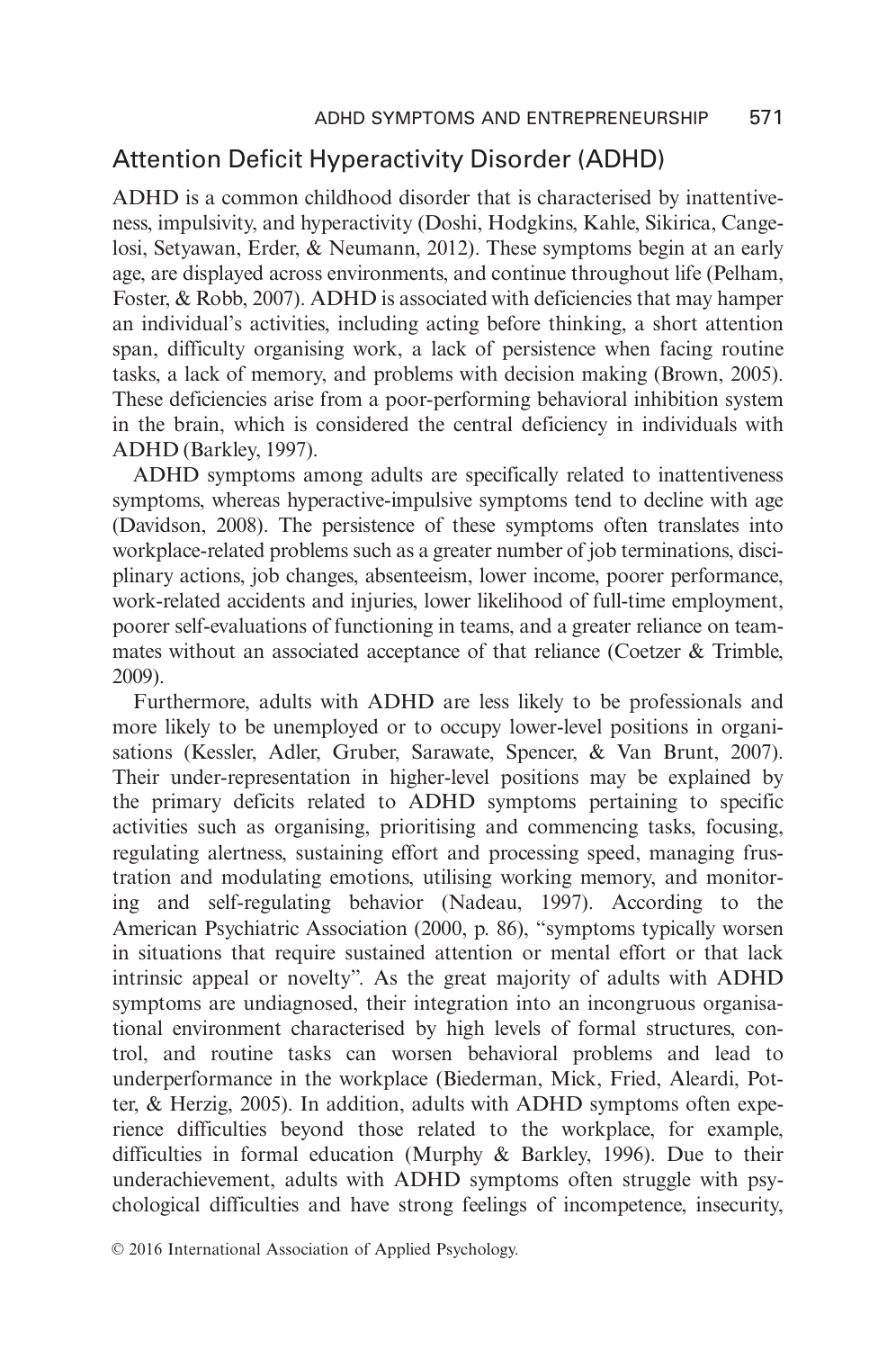## Attention Deficit Hyperactivity Disorder (ADHD)

ADHD is a common childhood disorder that is characterised by inattentiveness, impulsivity, and hyperactivity (Doshi, Hodgkins, Kahle, Sikirica, Cangelosi, Setyawan, Erder, & Neumann, 2012). These symptoms begin at an early age, are displayed across environments, and continue throughout life (Pelham, Foster, & Robb, 2007). ADHD is associated with deficiencies that may hamper an individual's activities, including acting before thinking, a short attention span, difficulty organising work, a lack of persistence when facing routine tasks, a lack of memory, and problems with decision making (Brown, 2005). These deficiencies arise from a poor-performing behavioral inhibition system in the brain, which is considered the central deficiency in individuals with ADHD (Barkley, 1997).

ADHD symptoms among adults are specifically related to inattentiveness symptoms, whereas hyperactive-impulsive symptoms tend to decline with age (Davidson, 2008). The persistence of these symptoms often translates into workplace-related problems such as a greater number of job terminations, disciplinary actions, job changes, absenteeism, lower income, poorer performance, work-related accidents and injuries, lower likelihood of full-time employment, poorer self-evaluations of functioning in teams, and a greater reliance on teammates without an associated acceptance of that reliance (Coetzer & Trimble, 2009).

Furthermore, adults with ADHD are less likely to be professionals and more likely to be unemployed or to occupy lower-level positions in organisations (Kessler, Adler, Gruber, Sarawate, Spencer, & Van Brunt, 2007). Their under-representation in higher-level positions may be explained by the primary deficits related to ADHD symptoms pertaining to specific activities such as organising, prioritising and commencing tasks, focusing, regulating alertness, sustaining effort and processing speed, managing frustration and modulating emotions, utilising working memory, and monitoring and self-regulating behavior (Nadeau, 1997). According to the American Psychiatric Association (2000, p. 86), "symptoms typically worsen in situations that require sustained attention or mental effort or that lack intrinsic appeal or novelty". As the great majority of adults with ADHD symptoms are undiagnosed, their integration into an incongruous organisational environment characterised by high levels of formal structures, control, and routine tasks can worsen behavioral problems and lead to underperformance in the workplace (Biederman, Mick, Fried, Aleardi, Potter, & Herzig, 2005). In addition, adults with ADHD symptoms often experience difficulties beyond those related to the workplace, for example, difficulties in formal education (Murphy & Barkley, 1996). Due to their underachievement, adults with ADHD symptoms often struggle with psychological difficulties and have strong feelings of incompetence, insecurity,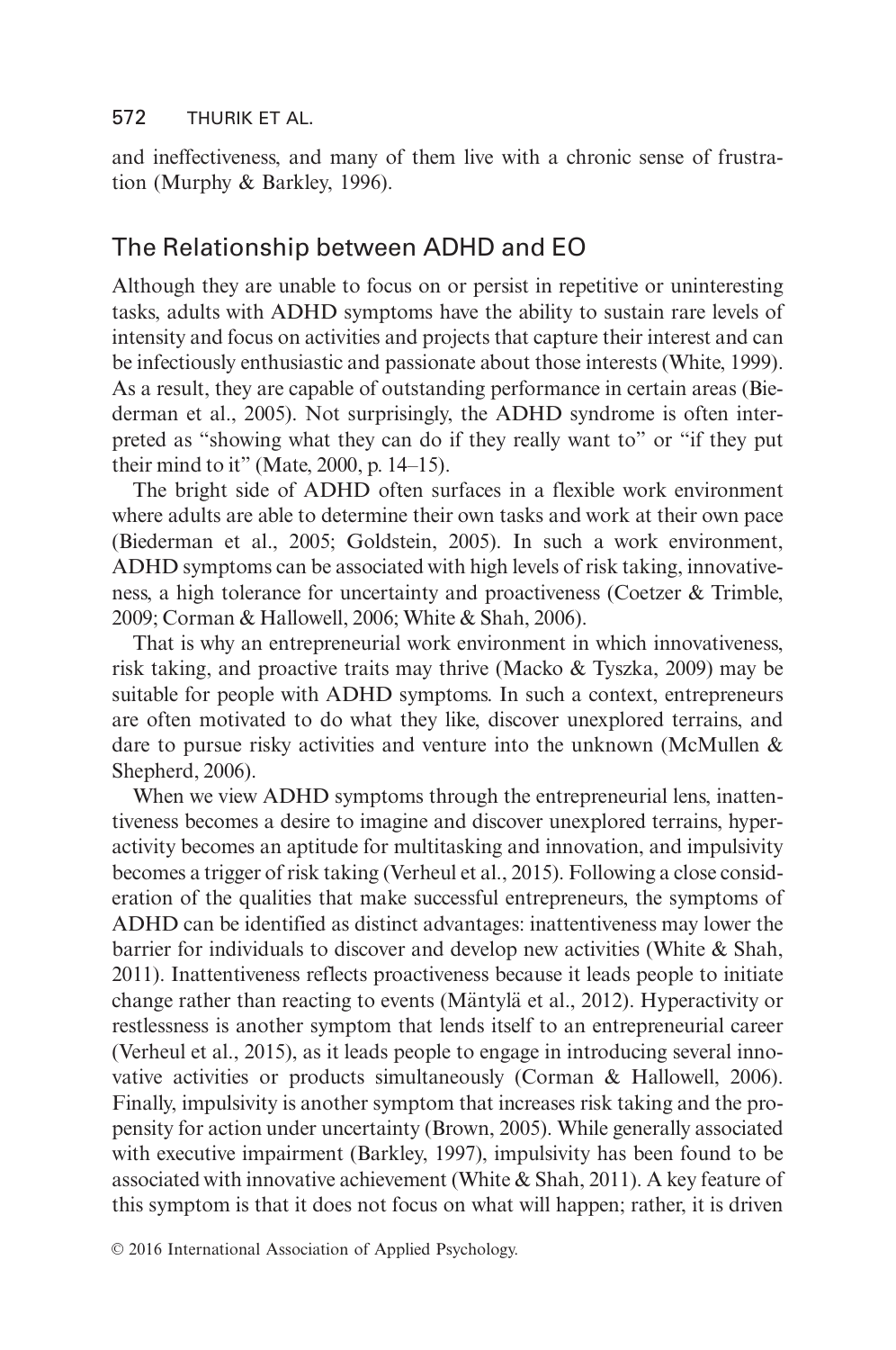and ineffectiveness, and many of them live with a chronic sense of frustration (Murphy & Barkley, 1996).

## The Relationship between ADHD and EO

Although they are unable to focus on or persist in repetitive or uninteresting tasks, adults with ADHD symptoms have the ability to sustain rare levels of intensity and focus on activities and projects that capture their interest and can be infectiously enthusiastic and passionate about those interests (White, 1999). As a result, they are capable of outstanding performance in certain areas (Biederman et al., 2005). Not surprisingly, the ADHD syndrome is often interpreted as "showing what they can do if they really want to" or "if they put their mind to it" (Mate, 2000, p. 14–15).

The bright side of ADHD often surfaces in a flexible work environment where adults are able to determine their own tasks and work at their own pace (Biederman et al., 2005; Goldstein, 2005). In such a work environment, ADHD symptoms can be associated with high levels of risk taking, innovativeness, a high tolerance for uncertainty and proactiveness (Coetzer & Trimble, 2009; Corman & Hallowell, 2006; White & Shah, 2006).

That is why an entrepreneurial work environment in which innovativeness, risk taking, and proactive traits may thrive (Macko & Tyszka, 2009) may be suitable for people with ADHD symptoms. In such a context, entrepreneurs are often motivated to do what they like, discover unexplored terrains, and dare to pursue risky activities and venture into the unknown (McMullen & Shepherd, 2006).

When we view ADHD symptoms through the entrepreneurial lens, inattentiveness becomes a desire to imagine and discover unexplored terrains, hyperactivity becomes an aptitude for multitasking and innovation, and impulsivity becomes a trigger of risk taking (Verheul et al., 2015). Following a close consideration of the qualities that make successful entrepreneurs, the symptoms of ADHD can be identified as distinct advantages: inattentiveness may lower the barrier for individuals to discover and develop new activities (White & Shah, 2011). Inattentiveness reflects proactiveness because it leads people to initiate change rather than reacting to events (Mäntylä et al., 2012). Hyperactivity or restlessness is another symptom that lends itself to an entrepreneurial career (Verheul et al., 2015), as it leads people to engage in introducing several innovative activities or products simultaneously (Corman & Hallowell, 2006). Finally, impulsivity is another symptom that increases risk taking and the propensity for action under uncertainty (Brown, 2005). While generally associated with executive impairment (Barkley, 1997), impulsivity has been found to be associated with innovative achievement (White & Shah, 2011). A key feature of this symptom is that it does not focus on what will happen; rather, it is driven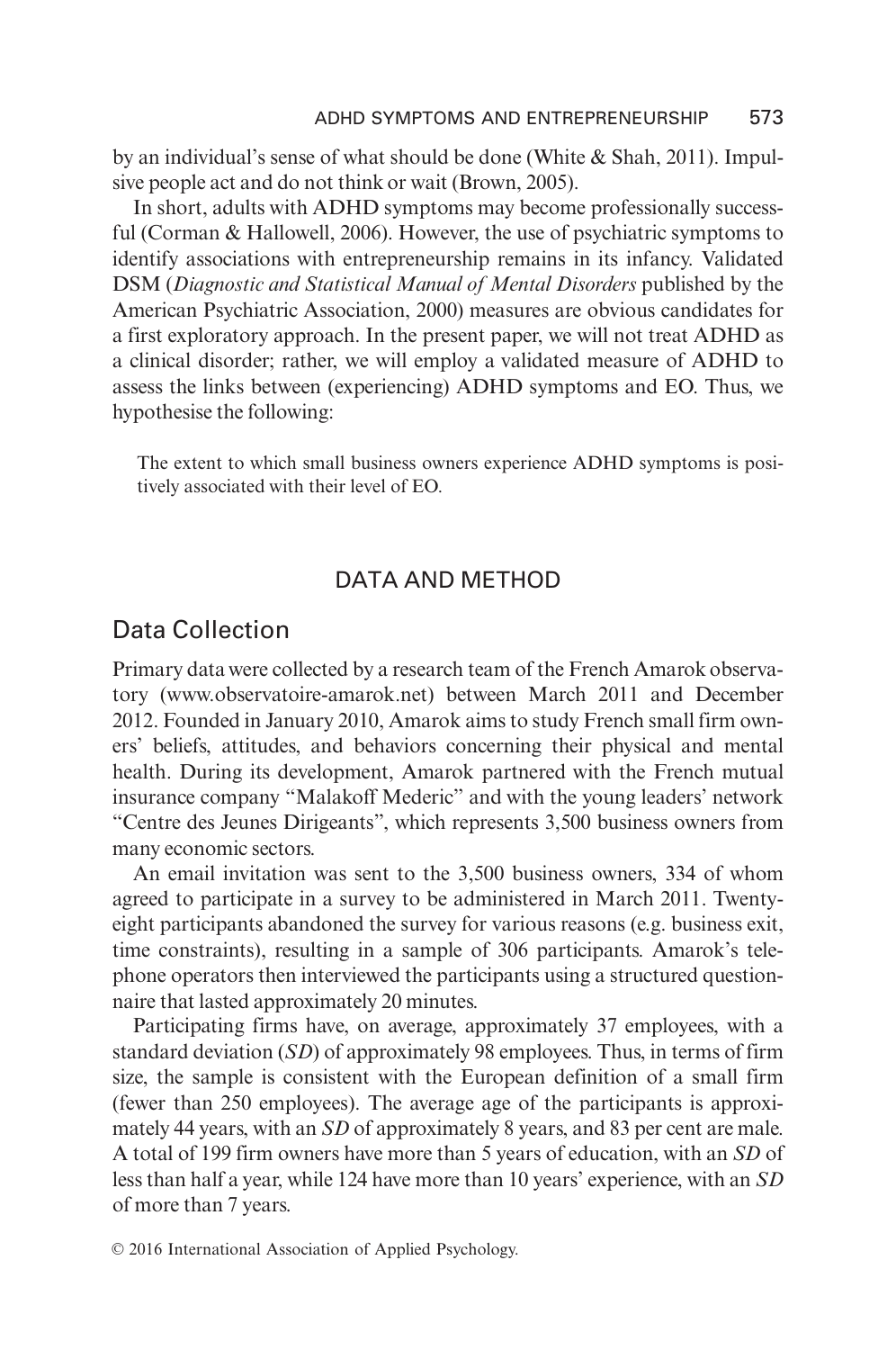by an individual's sense of what should be done (White  $\&$  Shah, 2011). Impulsive people act and do not think or wait (Brown, 2005).

In short, adults with ADHD symptoms may become professionally successful (Corman & Hallowell, 2006). However, the use of psychiatric symptoms to identify associations with entrepreneurship remains in its infancy. Validated DSM (Diagnostic and Statistical Manual of Mental Disorders published by the American Psychiatric Association, 2000) measures are obvious candidates for a first exploratory approach. In the present paper, we will not treat ADHD as a clinical disorder; rather, we will employ a validated measure of ADHD to assess the links between (experiencing) ADHD symptoms and EO. Thus, we hypothesise the following:

The extent to which small business owners experience ADHD symptoms is positively associated with their level of EO.

#### DATA AND METHOD

### Data Collection

Primary data were collected by a research team of the French Amarok observatory [\(www.observatoire-amarok.net\)](http://www.observatoire-amarok.net) between March 2011 and December 2012. Founded in January 2010, Amarok aims to study French small firm owners' beliefs, attitudes, and behaviors concerning their physical and mental health. During its development, Amarok partnered with the French mutual insurance company "Malakoff Mederic" and with the young leaders' network "Centre des Jeunes Dirigeants", which represents 3,500 business owners from many economic sectors.

An email invitation was sent to the 3,500 business owners, 334 of whom agreed to participate in a survey to be administered in March 2011. Twentyeight participants abandoned the survey for various reasons (e.g. business exit, time constraints), resulting in a sample of 306 participants. Amarok's telephone operators then interviewed the participants using a structured questionnaire that lasted approximately 20 minutes.

Participating firms have, on average, approximately 37 employees, with a standard deviation (SD) of approximately 98 employees. Thus, in terms of firm size, the sample is consistent with the European definition of a small firm (fewer than 250 employees). The average age of the participants is approximately 44 years, with an SD of approximately 8 years, and 83 per cent are male. A total of 199 firm owners have more than 5 years of education, with an SD of less than half a year, while 124 have more than 10 years' experience, with an  $SD$ of more than 7 years.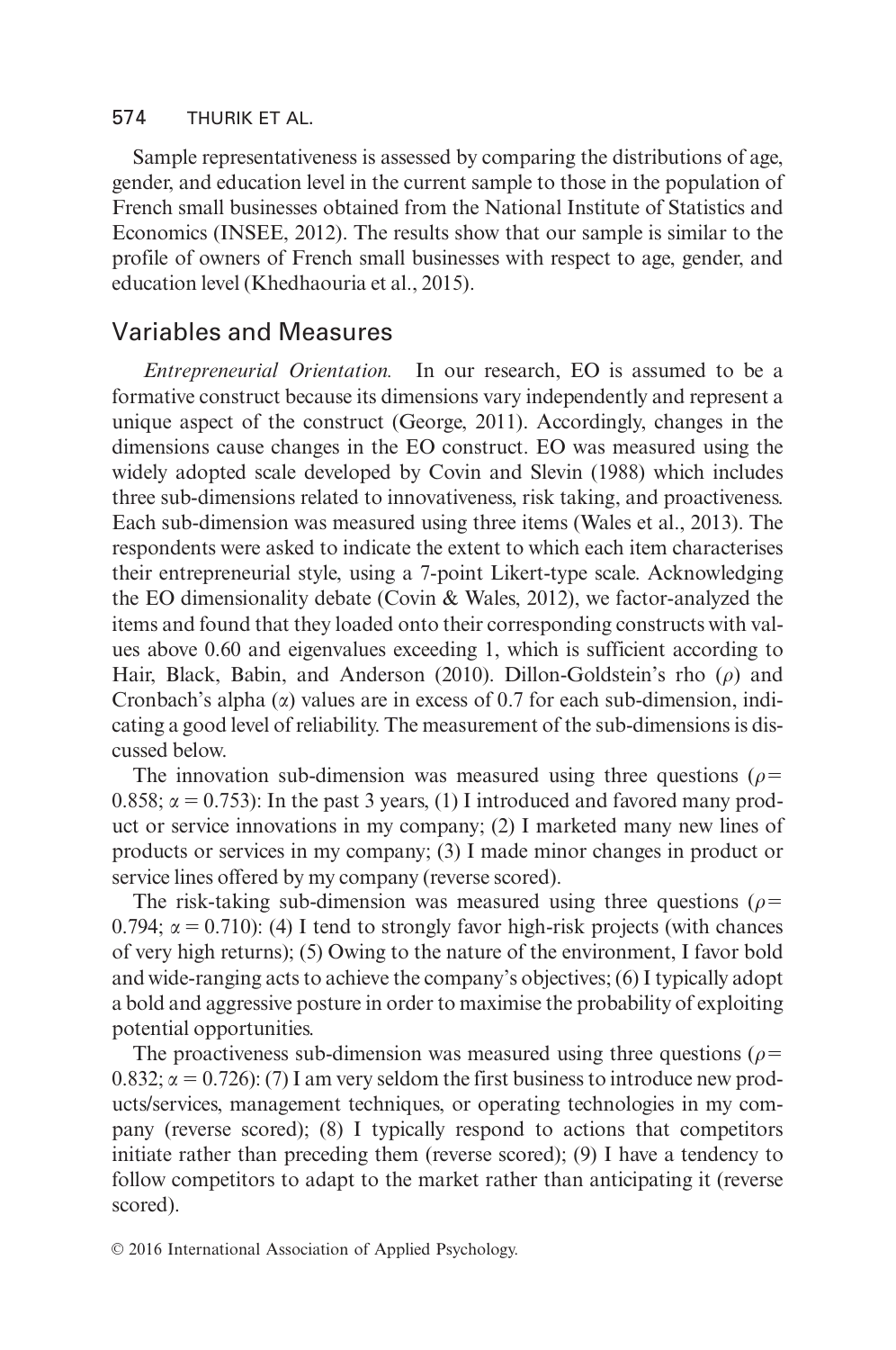Sample representativeness is assessed by comparing the distributions of age, gender, and education level in the current sample to those in the population of French small businesses obtained from the National Institute of Statistics and Economics (INSEE, 2012). The results show that our sample is similar to the profile of owners of French small businesses with respect to age, gender, and education level (Khedhaouria et al., 2015).

### Variables and Measures

Entrepreneurial Orientation. In our research, EO is assumed to be a formative construct because its dimensions vary independently and represent a unique aspect of the construct (George, 2011). Accordingly, changes in the dimensions cause changes in the EO construct. EO was measured using the widely adopted scale developed by Covin and Slevin (1988) which includes three sub-dimensions related to innovativeness, risk taking, and proactiveness. Each sub-dimension was measured using three items (Wales et al., 2013). The respondents were asked to indicate the extent to which each item characterises their entrepreneurial style, using a 7-point Likert-type scale. Acknowledging the EO dimensionality debate (Covin & Wales, 2012), we factor-analyzed the items and found that they loaded onto their corresponding constructs with values above 0.60 and eigenvalues exceeding 1, which is sufficient according to Hair, Black, Babin, and Anderson (2010). Dillon-Goldstein's rho  $(\rho)$  and Cronbach's alpha  $(\alpha)$  values are in excess of 0.7 for each sub-dimension, indicating a good level of reliability. The measurement of the sub-dimensions is discussed below.

The innovation sub-dimension was measured using three questions ( $\rho=$ 0.858;  $\alpha = 0.753$ ): In the past 3 years, (1) I introduced and favored many product or service innovations in my company; (2) I marketed many new lines of products or services in my company; (3) I made minor changes in product or service lines offered by my company (reverse scored).

The risk-taking sub-dimension was measured using three questions ( $\rho$ = 0.794;  $\alpha = 0.710$ ): (4) I tend to strongly favor high-risk projects (with chances of very high returns); (5) Owing to the nature of the environment, I favor bold and wide-ranging acts to achieve the company's objectives; (6) I typically adopt a bold and aggressive posture in order to maximise the probability of exploiting potential opportunities.

The proactiveness sub-dimension was measured using three questions ( $\rho$ = 0.832;  $\alpha = 0.726$ : (7) I am very seldom the first business to introduce new products/services, management techniques, or operating technologies in my company (reverse scored); (8) I typically respond to actions that competitors initiate rather than preceding them (reverse scored); (9) I have a tendency to follow competitors to adapt to the market rather than anticipating it (reverse scored).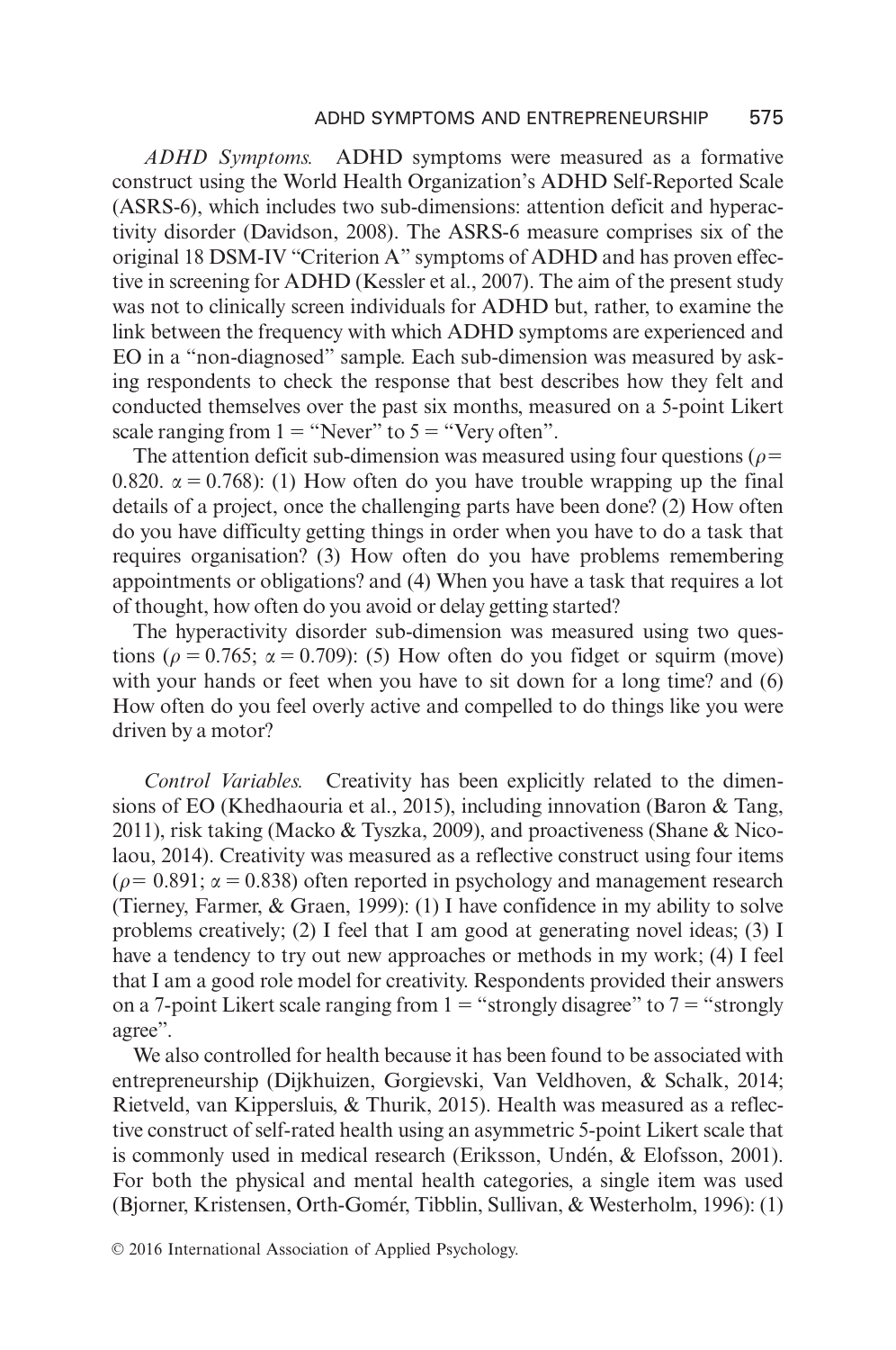ADHD Symptoms. ADHD symptoms were measured as a formative construct using the World Health Organization's ADHD Self-Reported Scale (ASRS-6), which includes two sub-dimensions: attention deficit and hyperactivity disorder (Davidson, 2008). The ASRS-6 measure comprises six of the original 18 DSM-IV "Criterion A" symptoms of ADHD and has proven effective in screening for ADHD (Kessler et al., 2007). The aim of the present study was not to clinically screen individuals for ADHD but, rather, to examine the link between the frequency with which ADHD symptoms are experienced and EO in a "non-diagnosed" sample. Each sub-dimension was measured by asking respondents to check the response that best describes how they felt and conducted themselves over the past six months, measured on a 5-point Likert scale ranging from  $1 =$  "Never" to  $5 =$  "Very often".

The attention deficit sub-dimension was measured using four questions ( $\rho=$ 0.820.  $\alpha = 0.768$ ): (1) How often do you have trouble wrapping up the final details of a project, once the challenging parts have been done? (2) How often do you have difficulty getting things in order when you have to do a task that requires organisation? (3) How often do you have problems remembering appointments or obligations? and (4) When you have a task that requires a lot of thought, how often do you avoid or delay getting started?

The hyperactivity disorder sub-dimension was measured using two questions ( $\rho = 0.765$ ;  $\alpha = 0.709$ ): (5) How often do you fidget or squirm (move) with your hands or feet when you have to sit down for a long time? and (6) How often do you feel overly active and compelled to do things like you were driven by a motor?

Control Variables. Creativity has been explicitly related to the dimensions of EO (Khedhaouria et al., 2015), including innovation (Baron & Tang, 2011), risk taking (Macko & Tyszka, 2009), and proactiveness (Shane & Nicolaou, 2014). Creativity was measured as a reflective construct using four items ( $\rho$ = 0.891;  $\alpha$  = 0.838) often reported in psychology and management research (Tierney, Farmer, & Graen, 1999): (1) I have confidence in my ability to solve problems creatively; (2) I feel that I am good at generating novel ideas; (3) I have a tendency to try out new approaches or methods in my work; (4) I feel that I am a good role model for creativity. Respondents provided their answers on a 7-point Likert scale ranging from  $1 =$  "strongly disagree" to  $7 =$  "strongly agree".

We also controlled for health because it has been found to be associated with entrepreneurship (Dijkhuizen, Gorgievski, Van Veldhoven, & Schalk, 2014; Rietveld, van Kippersluis, & Thurik, 2015). Health was measured as a reflective construct of self-rated health using an asymmetric 5-point Likert scale that is commonly used in medical research (Eriksson, Undén, & Elofsson, 2001). For both the physical and mental health categories, a single item was used (Bjorner, Kristensen, Orth-Gomér, Tibblin, Sullivan, & Westerholm, 1996): (1)

 $\odot$  2016 International Association of Applied Psychology.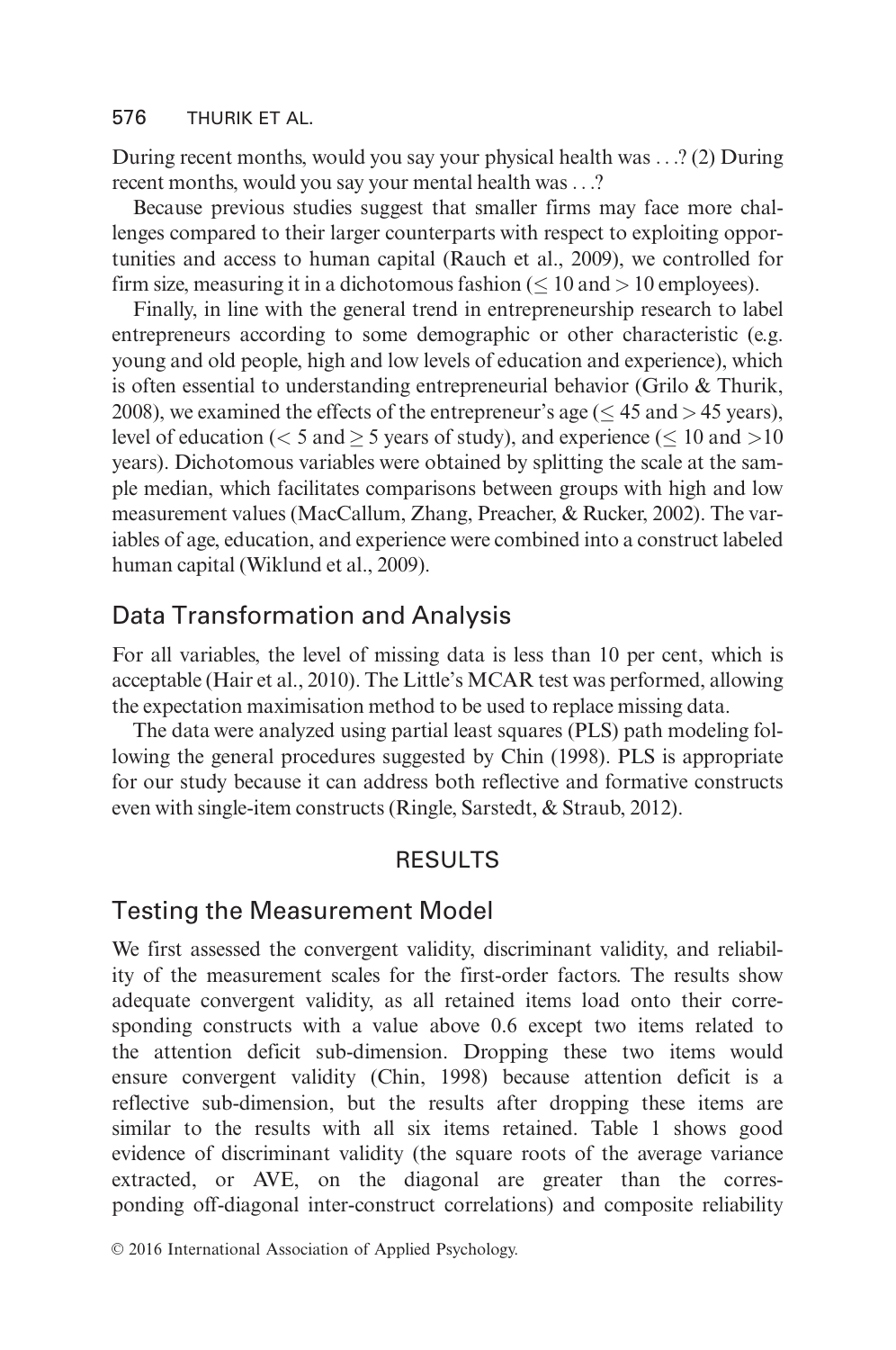During recent months, would you say your physical health was ...? (2) During recent months, would you say your mental health was ...?

Because previous studies suggest that smaller firms may face more challenges compared to their larger counterparts with respect to exploiting opportunities and access to human capital (Rauch et al., 2009), we controlled for firm size, measuring it in a dichotomous fashion ( $\leq 10$  and  $> 10$  employees).

Finally, in line with the general trend in entrepreneurship research to label entrepreneurs according to some demographic or other characteristic (e.g. young and old people, high and low levels of education and experience), which is often essential to understanding entrepreneurial behavior (Grilo & Thurik, 2008), we examined the effects of the entrepreneur's age ( $\leq$  45 and  $>$  45 years), level of education ( $< 5$  and  $\geq$  5 years of study), and experience ( $\leq 10$  and  $>$   $10$ years). Dichotomous variables were obtained by splitting the scale at the sample median, which facilitates comparisons between groups with high and low measurement values (MacCallum, Zhang, Preacher, & Rucker, 2002). The variables of age, education, and experience were combined into a construct labeled human capital (Wiklund et al., 2009).

### Data Transformation and Analysis

For all variables, the level of missing data is less than 10 per cent, which is acceptable (Hair et al., 2010). The Little's MCAR test was performed, allowing the expectation maximisation method to be used to replace missing data.

The data were analyzed using partial least squares (PLS) path modeling following the general procedures suggested by Chin (1998). PLS is appropriate for our study because it can address both reflective and formative constructs even with single-item constructs (Ringle, Sarstedt, & Straub, 2012).

### RESULTS

### Testing the Measurement Model

We first assessed the convergent validity, discriminant validity, and reliability of the measurement scales for the first-order factors. The results show adequate convergent validity, as all retained items load onto their corresponding constructs with a value above 0.6 except two items related to the attention deficit sub-dimension. Dropping these two items would ensure convergent validity (Chin, 1998) because attention deficit is a reflective sub-dimension, but the results after dropping these items are similar to the results with all six items retained. Table 1 shows good evidence of discriminant validity (the square roots of the average variance extracted, or AVE, on the diagonal are greater than the corresponding off-diagonal inter-construct correlations) and composite reliability

 $© 2016 International Association of Applied Psychology.$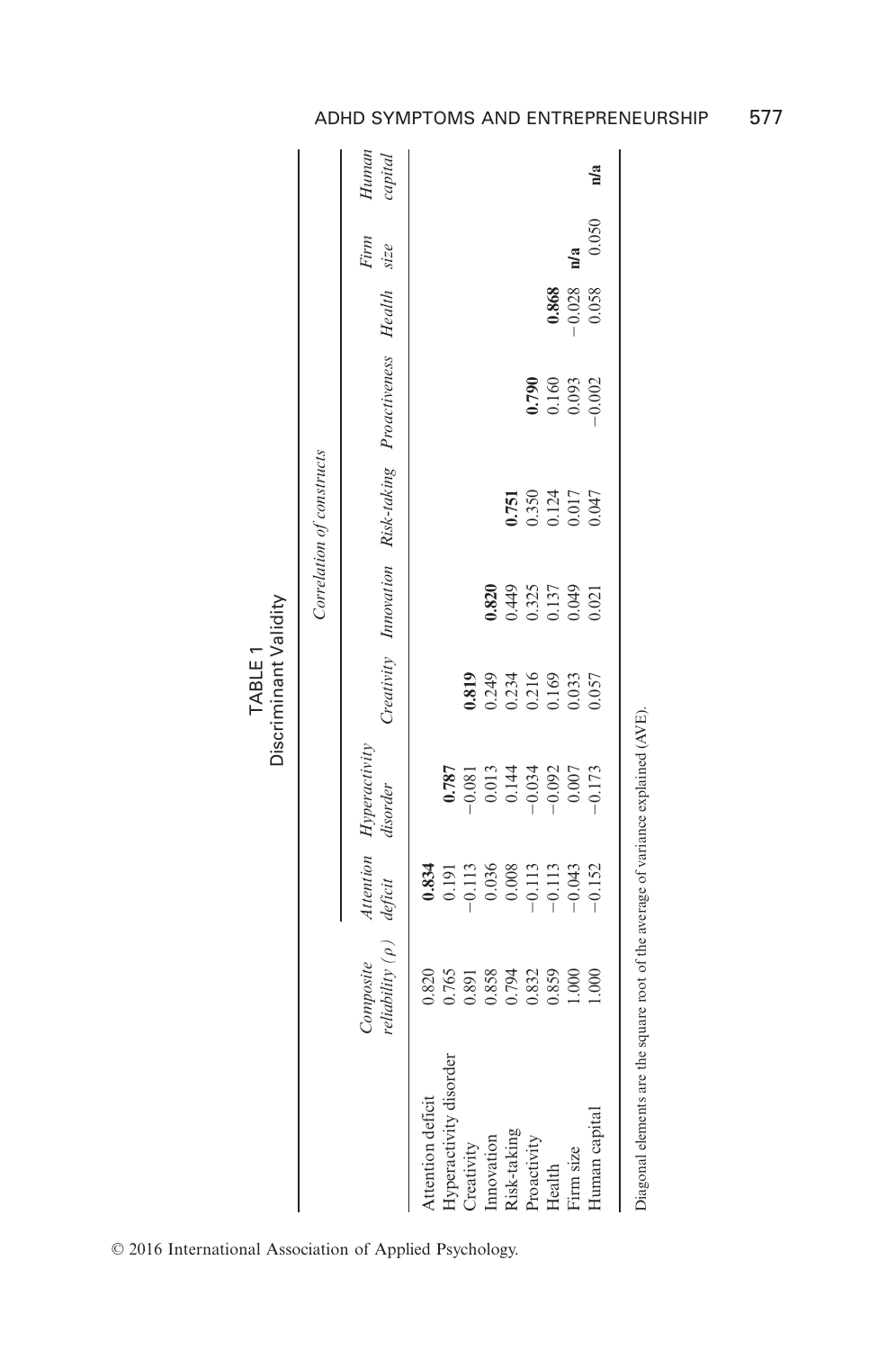|                                                                                   |                                                                          |                                                                               |                                                        |                                           |                                       | Correlation of constructs |                                                        |                   |               |                  |
|-----------------------------------------------------------------------------------|--------------------------------------------------------------------------|-------------------------------------------------------------------------------|--------------------------------------------------------|-------------------------------------------|---------------------------------------|---------------------------|--------------------------------------------------------|-------------------|---------------|------------------|
|                                                                                   | reliability $(\rho)$ deficit<br>Composite                                |                                                                               | Attention Hyperactivity<br>disorder                    |                                           |                                       |                           | Creativity Innovation Risk-taking Proactiveness Health |                   | Firm<br>size  | Hunan<br>capital |
| Attention deficit                                                                 | 0.820                                                                    |                                                                               |                                                        |                                           |                                       |                           |                                                        |                   |               |                  |
| Hyperactivity disorder                                                            | 1.765                                                                    | 0.834<br>0.191<br>0.113<br>0.036<br>0.000<br>0.113<br>0.043<br>0.152<br>0.152 | 0.787                                                  |                                           |                                       |                           |                                                        |                   |               |                  |
| Creativity                                                                        | $\begin{array}{c} 0.891 \\ 0.858 \\ 0.794 \\ 0.832 \\ 0.859 \end{array}$ |                                                                               | $-0.081$<br>$0.013$<br>$0.144$<br>$-0.034$<br>$-0.092$ |                                           |                                       |                           |                                                        |                   |               |                  |
| Innovation                                                                        |                                                                          |                                                                               |                                                        |                                           |                                       |                           |                                                        |                   |               |                  |
| Risk-taking                                                                       |                                                                          |                                                                               |                                                        |                                           |                                       |                           |                                                        |                   |               |                  |
| Proactivity                                                                       |                                                                          |                                                                               |                                                        |                                           |                                       |                           |                                                        |                   |               |                  |
| Health                                                                            |                                                                          |                                                                               |                                                        | 0.819<br>0.249<br>0.234<br>0.169<br>0.169 | <b>820</b><br>0.449<br>0.325<br>0.137 | 0.751<br>0.350<br>0.124   |                                                        | 0.868             |               |                  |
| Firm size                                                                         | .000                                                                     |                                                                               |                                                        | 0.033                                     |                                       | 0.017                     | $0.790$<br>0.160<br>0.093<br>0.002                     | $-0.028$<br>0.058 | $\frac{1}{2}$ |                  |
| Human capital                                                                     | 000.1                                                                    |                                                                               | $-0.173$                                               | 0.057                                     | 0.021                                 | 0.047                     |                                                        |                   | 0.050         | n/a              |
| Diagonal elements are the square root of the average of variance explained (AVE). |                                                                          |                                                                               |                                                        |                                           |                                       |                           |                                                        |                   |               |                  |

ADHD SYMPTOMS AND ENTREPRENEURSHIP 577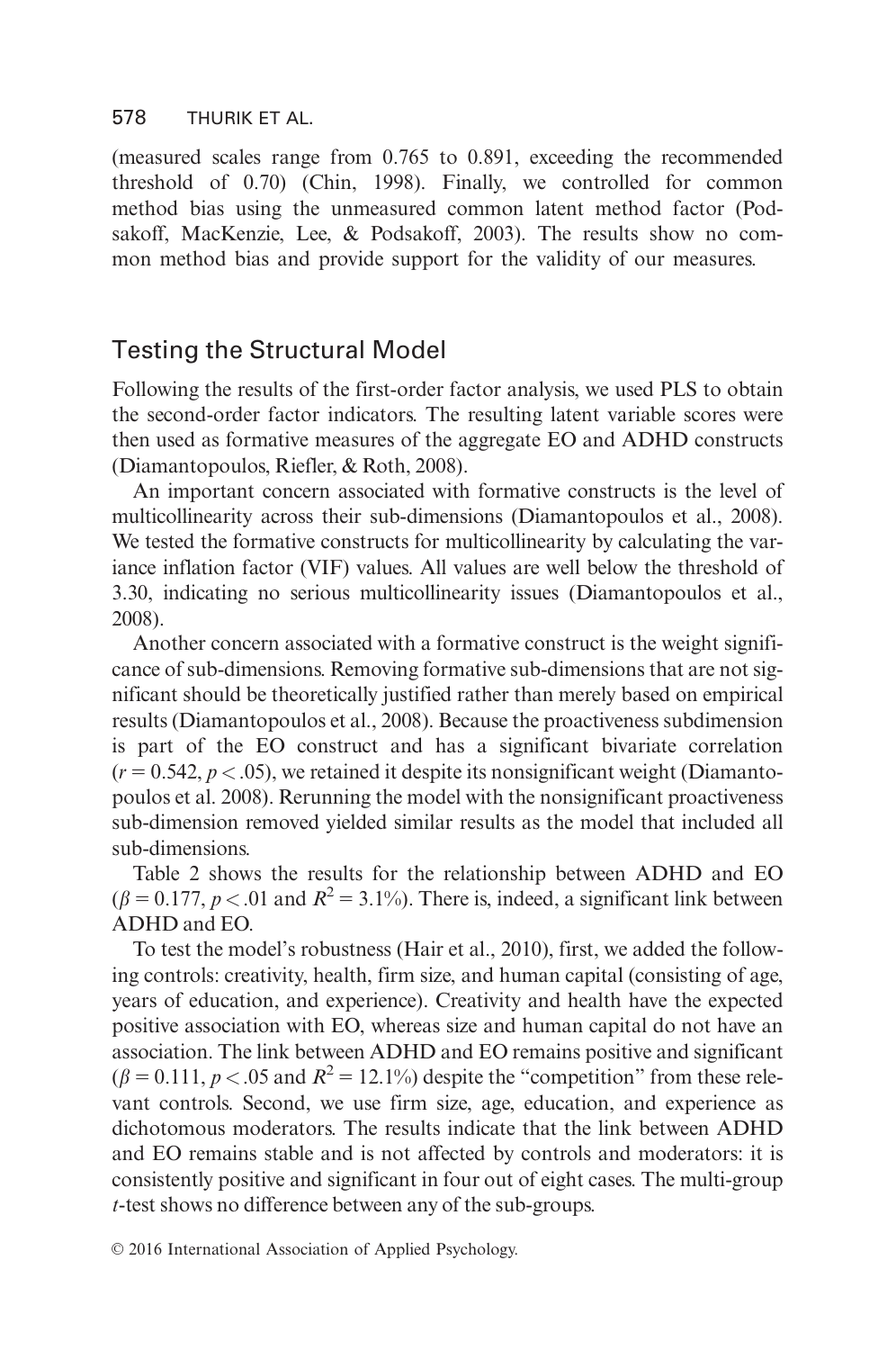(measured scales range from 0.765 to 0.891, exceeding the recommended threshold of 0.70) (Chin, 1998). Finally, we controlled for common method bias using the unmeasured common latent method factor (Podsakoff, MacKenzie, Lee, & Podsakoff, 2003). The results show no common method bias and provide support for the validity of our measures.

### Testing the Structural Model

Following the results of the first-order factor analysis, we used PLS to obtain the second-order factor indicators. The resulting latent variable scores were then used as formative measures of the aggregate EO and ADHD constructs (Diamantopoulos, Riefler, & Roth, 2008).

An important concern associated with formative constructs is the level of multicollinearity across their sub-dimensions (Diamantopoulos et al., 2008). We tested the formative constructs for multicollinearity by calculating the variance inflation factor (VIF) values. All values are well below the threshold of 3.30, indicating no serious multicollinearity issues (Diamantopoulos et al., 2008).

Another concern associated with a formative construct is the weight significance of sub-dimensions. Removing formative sub-dimensions that are not significant should be theoretically justified rather than merely based on empirical results (Diamantopoulos et al., 2008). Because the proactiveness subdimension is part of the EO construct and has a significant bivariate correlation  $(r = 0.542, p < .05)$ , we retained it despite its nonsignificant weight (Diamantopoulos et al. 2008). Rerunning the model with the nonsignificant proactiveness sub-dimension removed yielded similar results as the model that included all sub-dimensions.

Table 2 shows the results for the relationship between ADHD and EO  $(\beta = 0.177, p < .01$  and  $R^2 = 3.1\%)$ . There is, indeed, a significant link between ADHD and EO.

To test the model's robustness (Hair et al., 2010), first, we added the following controls: creativity, health, firm size, and human capital (consisting of age, years of education, and experience). Creativity and health have the expected positive association with EO, whereas size and human capital do not have an association. The link between ADHD and EO remains positive and significant  $(\beta = 0.111, p < .05$  and  $R^2 = 12.1\%)$  despite the "competition" from these relevant controls. Second, we use firm size, age, education, and experience as dichotomous moderators. The results indicate that the link between ADHD and EO remains stable and is not affected by controls and moderators: it is consistently positive and significant in four out of eight cases. The multi-group t-test shows no difference between any of the sub-groups.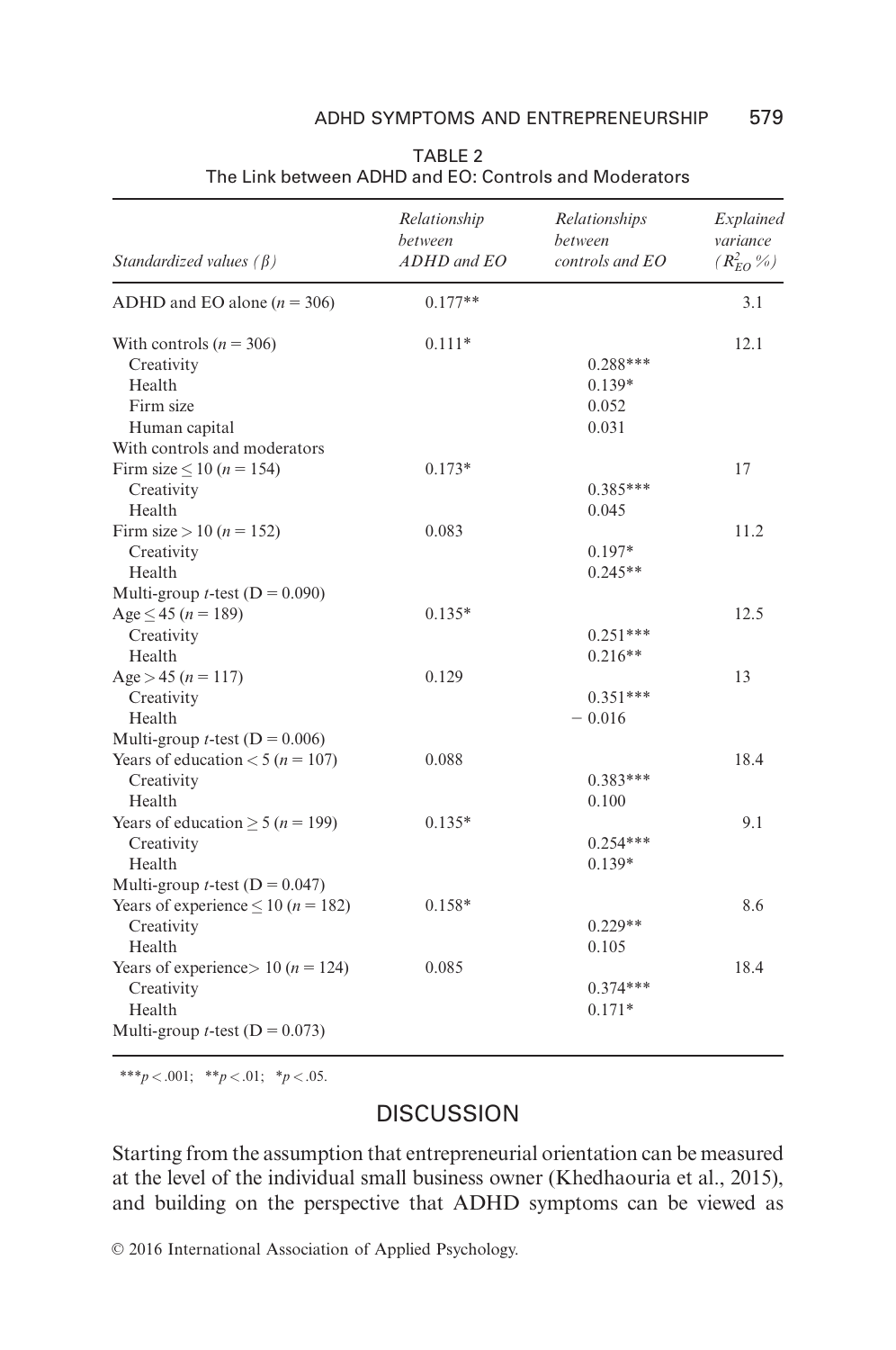| Standardized values $(\beta)$                                                                                   | Relationship<br>between<br>ADHD and EO | Relationships<br>between<br>controls and EO | Explained<br>variance<br>$(R_{E O}^2 \% )$ |
|-----------------------------------------------------------------------------------------------------------------|----------------------------------------|---------------------------------------------|--------------------------------------------|
| ADHD and EO alone ( $n = 306$ )                                                                                 | $0.177**$                              |                                             | 3.1                                        |
| With controls $(n = 306)$<br>Creativity<br>Health<br>Firm size<br>Human capital<br>With controls and moderators | $0.111*$                               | $0.288***$<br>$0.139*$<br>0.052<br>0.031    | 12.1                                       |
| Firm size < 10 ( $n = 154$ )<br>Creativity<br>Health                                                            | $0.173*$                               | $0.385***$<br>0.045                         | 17                                         |
| Firm size > 10 ( $n = 152$ )<br>Creativity<br>Health                                                            | 0.083                                  | $0.197*$<br>$0.245**$                       | 11.2                                       |
| Multi-group <i>t</i> -test ( $D = 0.090$ )<br>Age < 45 ( $n = 189$ )<br>Creativity<br>Health                    | $0.135*$                               | $0.251***$<br>$0.216**$                     | 12.5                                       |
| Age > 45 ( $n = 117$ )<br>Creativity<br>Health                                                                  | 0.129                                  | $0.351***$<br>$-0.016$                      | 13                                         |
| Multi-group <i>t</i> -test ( $D = 0.006$ )<br>Years of education < $5 (n = 107)$<br>Creativity<br>Health        | 0.088                                  | $0.383***$<br>0.100                         | 18.4                                       |
| Years of education $\geq 5$ ( <i>n</i> = 199)<br>Creativity<br>Health                                           | $0.135*$                               | $0.254***$<br>$0.139*$                      | 9.1                                        |
| Multi-group <i>t</i> -test ( $D = 0.047$ )<br>Years of experience $\leq 10 (n = 182)$<br>Creativity<br>Health   | $0.158*$                               | $0.229**$<br>0.105                          | 8.6                                        |
| Years of experience > 10 ( $n = 124$ )<br>Creativity<br>Health<br>Multi-group <i>t</i> -test ( $D = 0.073$ )    | 0.085                                  | $0.374***$<br>$0.171*$                      | 18.4                                       |

#### TABLE 2 The Link between ADHD and EO: Controls and Moderators

\*\*\*p <.001; \*\*p <.01; \*p <.05.

### **DISCUSSION**

Starting from the assumption that entrepreneurial orientation can be measured at the level of the individual small business owner (Khedhaouria et al., 2015), and building on the perspective that ADHD symptoms can be viewed as

 $© 2016 International Association of Applied Psychology.$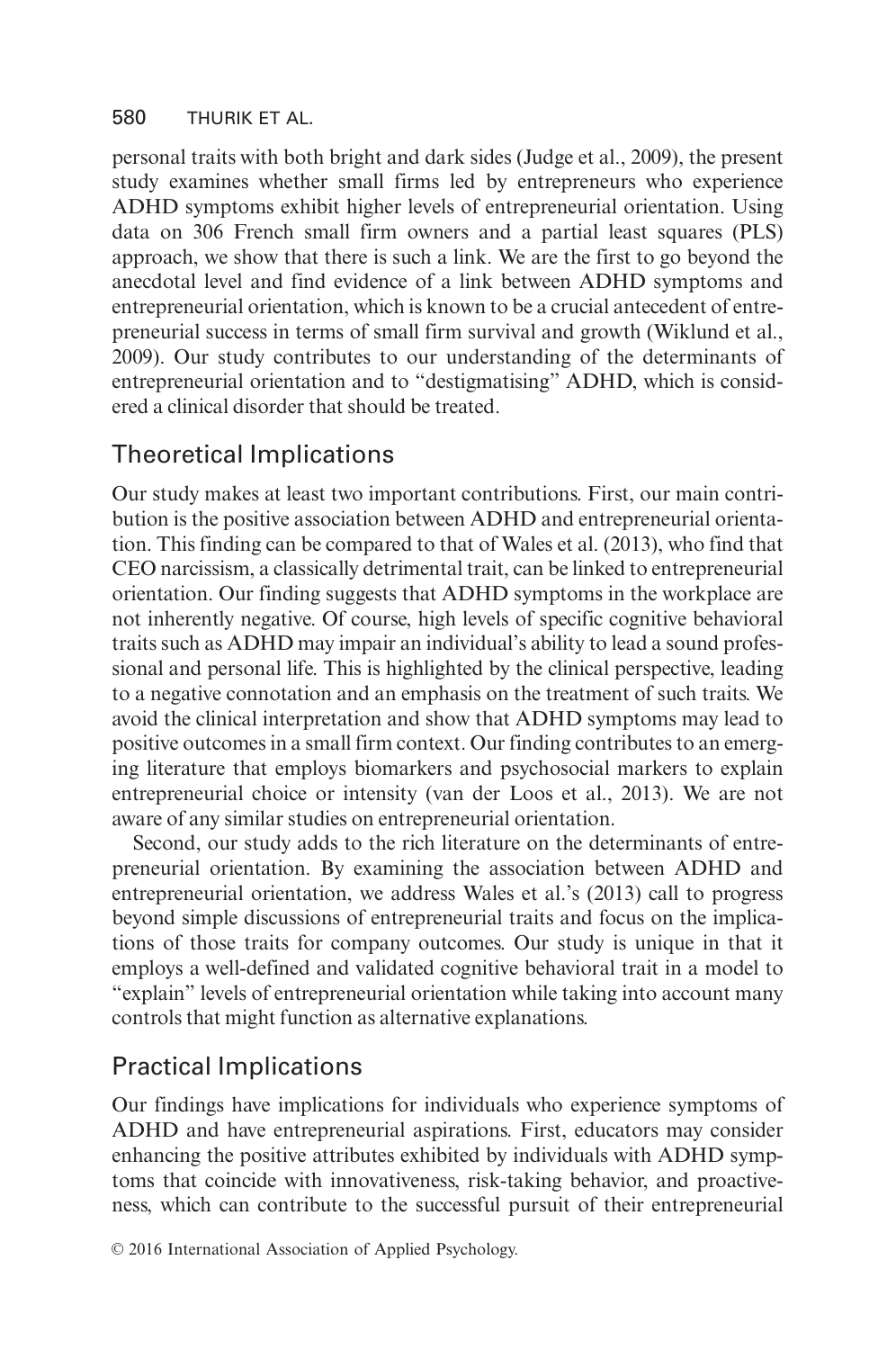personal traits with both bright and dark sides (Judge et al., 2009), the present study examines whether small firms led by entrepreneurs who experience ADHD symptoms exhibit higher levels of entrepreneurial orientation. Using data on 306 French small firm owners and a partial least squares (PLS) approach, we show that there is such a link. We are the first to go beyond the anecdotal level and find evidence of a link between ADHD symptoms and entrepreneurial orientation, which is known to be a crucial antecedent of entrepreneurial success in terms of small firm survival and growth (Wiklund et al., 2009). Our study contributes to our understanding of the determinants of entrepreneurial orientation and to "destigmatising" ADHD, which is considered a clinical disorder that should be treated.

## Theoretical Implications

Our study makes at least two important contributions. First, our main contribution is the positive association between ADHD and entrepreneurial orientation. This finding can be compared to that of Wales et al. (2013), who find that CEO narcissism, a classically detrimental trait, can be linked to entrepreneurial orientation. Our finding suggests that ADHD symptoms in the workplace are not inherently negative. Of course, high levels of specific cognitive behavioral traits such as ADHD may impair an individual's ability to lead a sound professional and personal life. This is highlighted by the clinical perspective, leading to a negative connotation and an emphasis on the treatment of such traits. We avoid the clinical interpretation and show that ADHD symptoms may lead to positive outcomes in a small firm context. Our finding contributes to an emerging literature that employs biomarkers and psychosocial markers to explain entrepreneurial choice or intensity (van der Loos et al., 2013). We are not aware of any similar studies on entrepreneurial orientation.

Second, our study adds to the rich literature on the determinants of entrepreneurial orientation. By examining the association between ADHD and entrepreneurial orientation, we address Wales et al.'s (2013) call to progress beyond simple discussions of entrepreneurial traits and focus on the implications of those traits for company outcomes. Our study is unique in that it employs a well-defined and validated cognitive behavioral trait in a model to "explain" levels of entrepreneurial orientation while taking into account many controls that might function as alternative explanations.

## Practical Implications

Our findings have implications for individuals who experience symptoms of ADHD and have entrepreneurial aspirations. First, educators may consider enhancing the positive attributes exhibited by individuals with ADHD symptoms that coincide with innovativeness, risk-taking behavior, and proactiveness, which can contribute to the successful pursuit of their entrepreneurial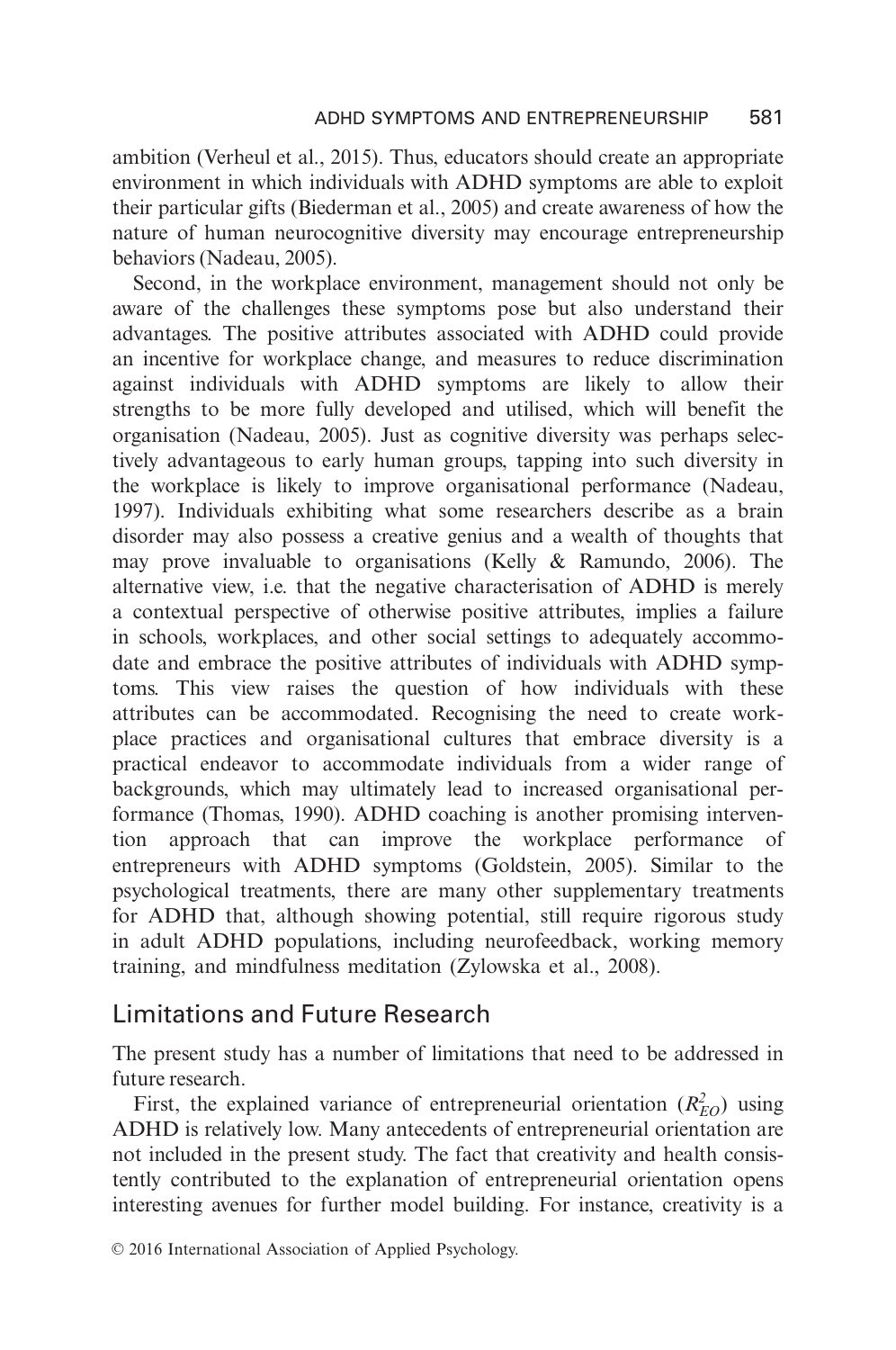ambition (Verheul et al., 2015). Thus, educators should create an appropriate environment in which individuals with ADHD symptoms are able to exploit their particular gifts (Biederman et al., 2005) and create awareness of how the nature of human neurocognitive diversity may encourage entrepreneurship behaviors (Nadeau, 2005).

Second, in the workplace environment, management should not only be aware of the challenges these symptoms pose but also understand their advantages. The positive attributes associated with ADHD could provide an incentive for workplace change, and measures to reduce discrimination against individuals with ADHD symptoms are likely to allow their strengths to be more fully developed and utilised, which will benefit the organisation (Nadeau, 2005). Just as cognitive diversity was perhaps selectively advantageous to early human groups, tapping into such diversity in the workplace is likely to improve organisational performance (Nadeau, 1997). Individuals exhibiting what some researchers describe as a brain disorder may also possess a creative genius and a wealth of thoughts that may prove invaluable to organisations (Kelly & Ramundo, 2006). The alternative view, i.e. that the negative characterisation of ADHD is merely a contextual perspective of otherwise positive attributes, implies a failure in schools, workplaces, and other social settings to adequately accommodate and embrace the positive attributes of individuals with ADHD symptoms. This view raises the question of how individuals with these attributes can be accommodated. Recognising the need to create workplace practices and organisational cultures that embrace diversity is a practical endeavor to accommodate individuals from a wider range of backgrounds, which may ultimately lead to increased organisational performance (Thomas, 1990). ADHD coaching is another promising intervention approach that can improve the workplace performance of entrepreneurs with ADHD symptoms (Goldstein, 2005). Similar to the psychological treatments, there are many other supplementary treatments for ADHD that, although showing potential, still require rigorous study in adult ADHD populations, including neurofeedback, working memory training, and mindfulness meditation (Zylowska et al., 2008).

### Limitations and Future Research

The present study has a number of limitations that need to be addressed in future research.

First, the explained variance of entrepreneurial orientation  $(R_{EO}^2)$  using ADHD is relatively low. Many antecedents of entrepreneurial orientation are not included in the present study. The fact that creativity and health consistently contributed to the explanation of entrepreneurial orientation opens interesting avenues for further model building. For instance, creativity is a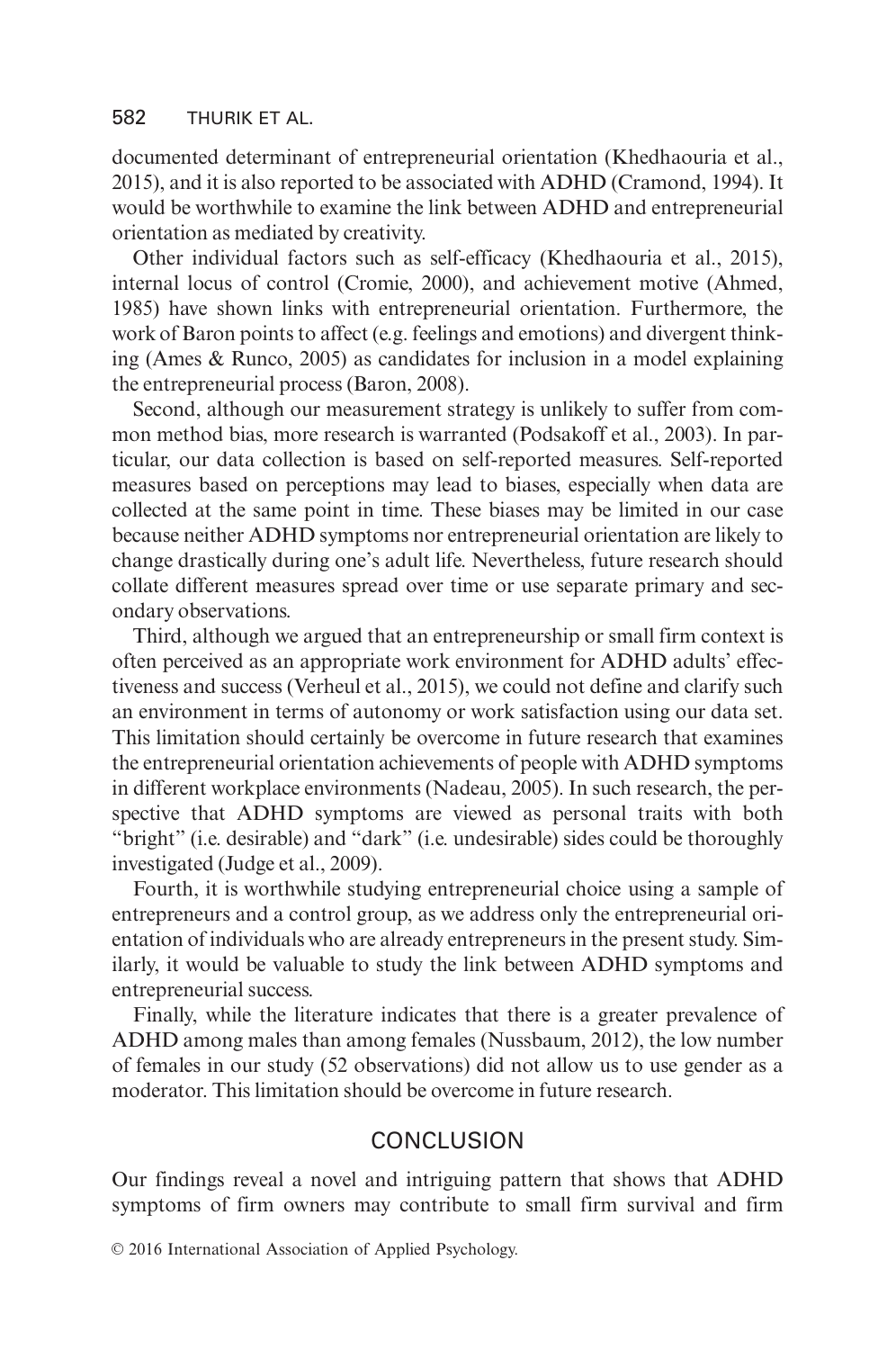documented determinant of entrepreneurial orientation (Khedhaouria et al., 2015), and it is also reported to be associated with ADHD (Cramond, 1994). It would be worthwhile to examine the link between ADHD and entrepreneurial orientation as mediated by creativity.

Other individual factors such as self-efficacy (Khedhaouria et al., 2015), internal locus of control (Cromie, 2000), and achievement motive (Ahmed, 1985) have shown links with entrepreneurial orientation. Furthermore, the work of Baron points to affect (e.g. feelings and emotions) and divergent thinking (Ames & Runco, 2005) as candidates for inclusion in a model explaining the entrepreneurial process (Baron, 2008).

Second, although our measurement strategy is unlikely to suffer from common method bias, more research is warranted (Podsakoff et al., 2003). In particular, our data collection is based on self-reported measures. Self-reported measures based on perceptions may lead to biases, especially when data are collected at the same point in time. These biases may be limited in our case because neither ADHD symptoms nor entrepreneurial orientation are likely to change drastically during one's adult life. Nevertheless, future research should collate different measures spread over time or use separate primary and secondary observations.

Third, although we argued that an entrepreneurship or small firm context is often perceived as an appropriate work environment for ADHD adults' effectiveness and success (Verheul et al., 2015), we could not define and clarify such an environment in terms of autonomy or work satisfaction using our data set. This limitation should certainly be overcome in future research that examines the entrepreneurial orientation achievements of people with ADHD symptoms in different workplace environments (Nadeau, 2005). In such research, the perspective that ADHD symptoms are viewed as personal traits with both "bright" (i.e. desirable) and "dark" (i.e. undesirable) sides could be thoroughly investigated (Judge et al., 2009).

Fourth, it is worthwhile studying entrepreneurial choice using a sample of entrepreneurs and a control group, as we address only the entrepreneurial orientation of individuals who are already entrepreneurs in the present study. Similarly, it would be valuable to study the link between ADHD symptoms and entrepreneurial success.

Finally, while the literature indicates that there is a greater prevalence of ADHD among males than among females (Nussbaum, 2012), the low number of females in our study (52 observations) did not allow us to use gender as a moderator. This limitation should be overcome in future research.

### **CONCLUSION**

Our findings reveal a novel and intriguing pattern that shows that ADHD symptoms of firm owners may contribute to small firm survival and firm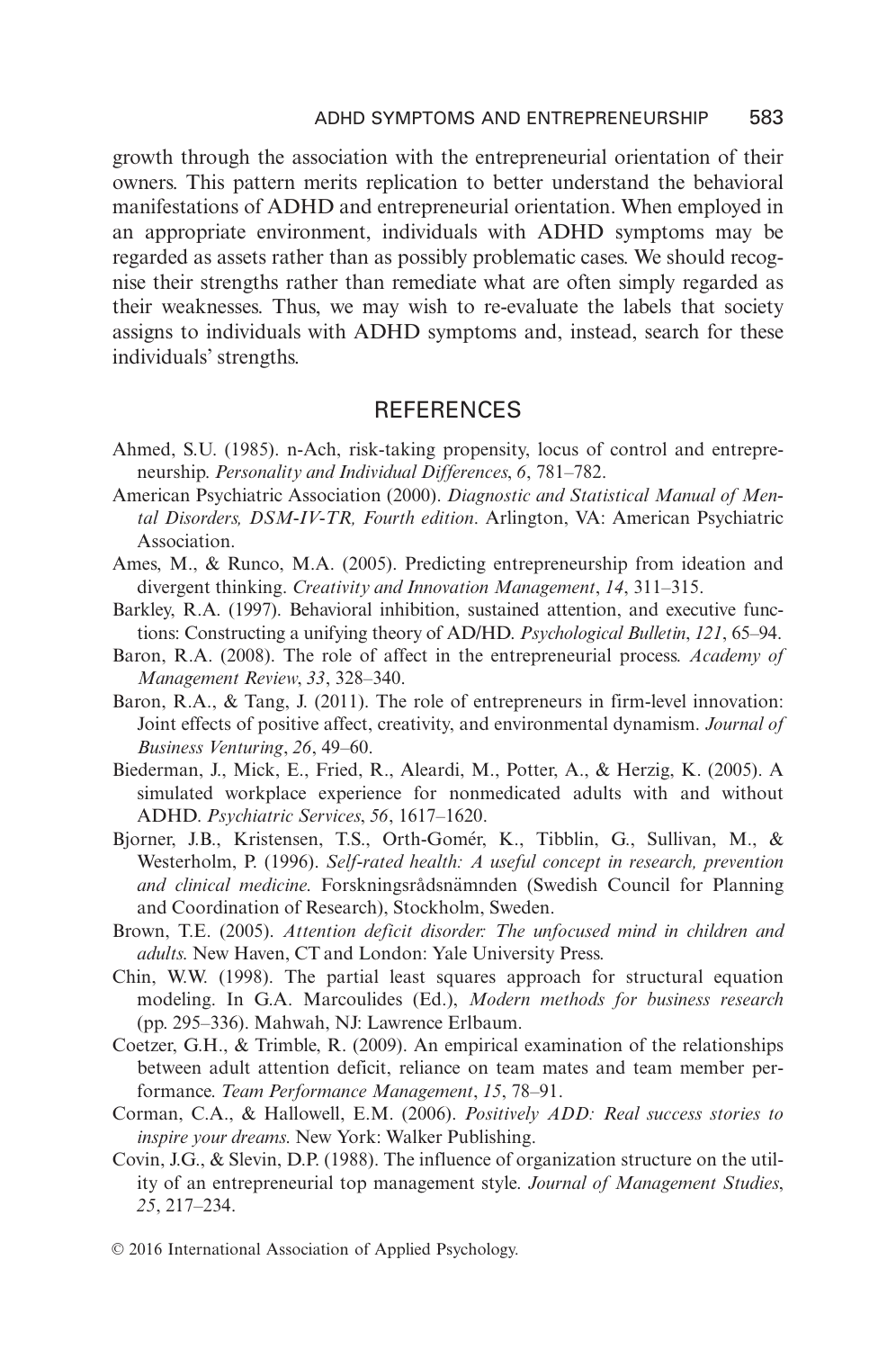growth through the association with the entrepreneurial orientation of their owners. This pattern merits replication to better understand the behavioral manifestations of ADHD and entrepreneurial orientation. When employed in an appropriate environment, individuals with ADHD symptoms may be regarded as assets rather than as possibly problematic cases. We should recognise their strengths rather than remediate what are often simply regarded as their weaknesses. Thus, we may wish to re-evaluate the labels that society assigns to individuals with ADHD symptoms and, instead, search for these individuals' strengths.

#### **REFERENCES**

- Ahmed, S.U. (1985). n-Ach, risk-taking propensity, locus of control and entrepreneurship. Personality and Individual Differences, 6, 781–782.
- American Psychiatric Association (2000). Diagnostic and Statistical Manual of Mental Disorders, DSM-IV-TR, Fourth edition. Arlington, VA: American Psychiatric Association.
- Ames, M., & Runco, M.A. (2005). Predicting entrepreneurship from ideation and divergent thinking. Creativity and Innovation Management, 14, 311–315.
- Barkley, R.A. (1997). Behavioral inhibition, sustained attention, and executive functions: Constructing a unifying theory of AD/HD. Psychological Bulletin, 121, 65–94.
- Baron, R.A. (2008). The role of affect in the entrepreneurial process. Academy of Management Review, 33, 328–340.
- Baron, R.A., & Tang, J. (2011). The role of entrepreneurs in firm-level innovation: Joint effects of positive affect, creativity, and environmental dynamism. Journal of Business Venturing, 26, 49–60.
- Biederman, J., Mick, E., Fried, R., Aleardi, M., Potter, A., & Herzig, K. (2005). A simulated workplace experience for nonmedicated adults with and without ADHD. Psychiatric Services, 56, 1617–1620.
- Bjorner, J.B., Kristensen, T.S., Orth-Gomér, K., Tibblin, G., Sullivan, M., & Westerholm, P. (1996). Self-rated health: A useful concept in research, prevention and clinical medicine. Forskningsrådsnämnden (Swedish Council for Planning and Coordination of Research), Stockholm, Sweden.
- Brown, T.E. (2005). Attention deficit disorder: The unfocused mind in children and adults. New Haven, CT and London: Yale University Press.
- Chin, W.W. (1998). The partial least squares approach for structural equation modeling. In G.A. Marcoulides (Ed.), Modern methods for business research (pp. 295–336). Mahwah, NJ: Lawrence Erlbaum.
- Coetzer, G.H., & Trimble, R. (2009). An empirical examination of the relationships between adult attention deficit, reliance on team mates and team member performance. Team Performance Management, 15, 78–91.
- Corman, C.A., & Hallowell, E.M. (2006). Positively ADD: Real success stories to inspire your dreams. New York: Walker Publishing.
- Covin, J.G., & Slevin, D.P. (1988). The influence of organization structure on the utility of an entrepreneurial top management style. Journal of Management Studies, 25, 217–234.
- $\odot$  2016 International Association of Applied Psychology.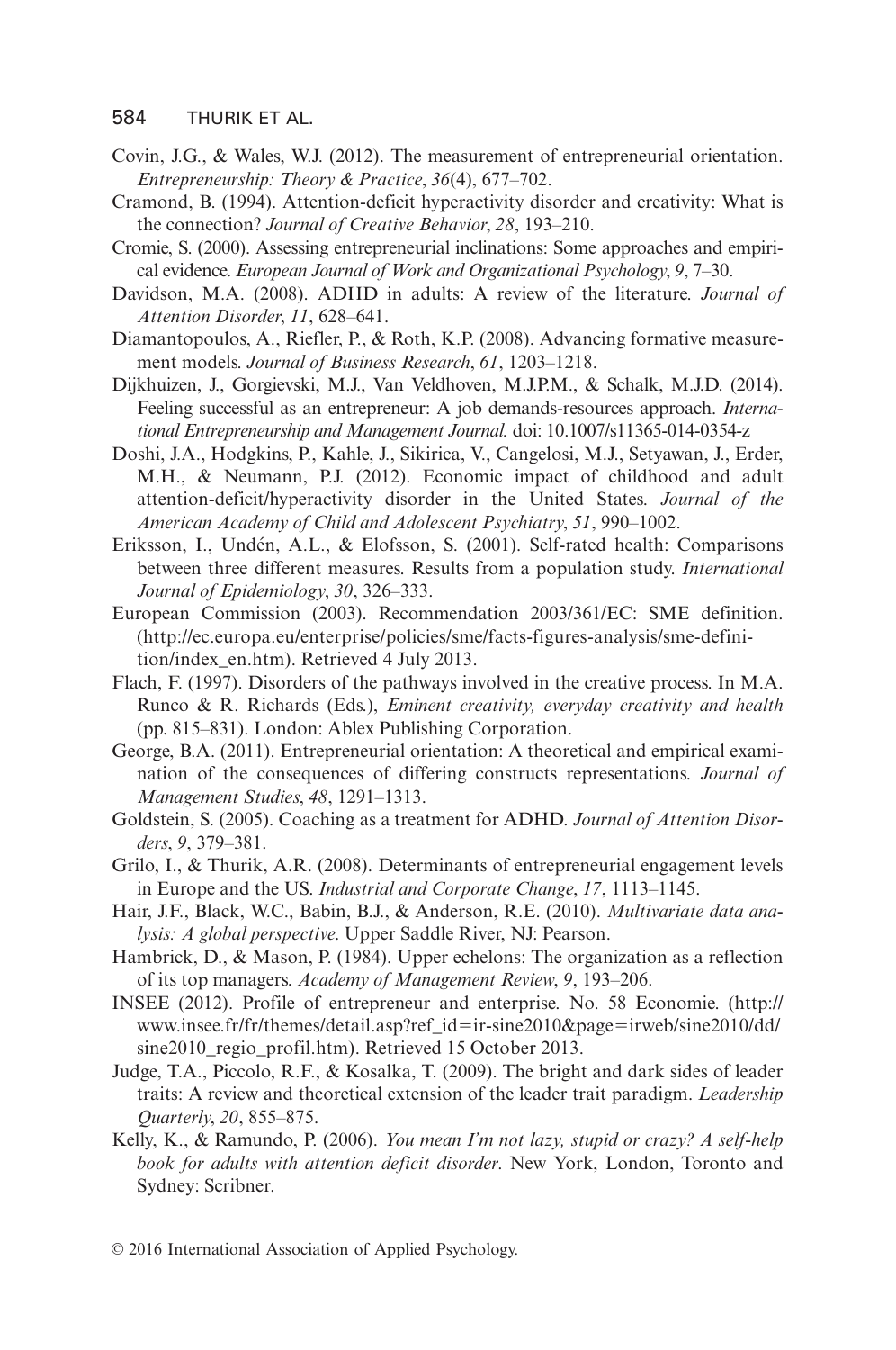- Covin, J.G., & Wales, W.J. (2012). The measurement of entrepreneurial orientation. Entrepreneurship: Theory & Practice, 36(4), 677–702.
- Cramond, B. (1994). Attention-deficit hyperactivity disorder and creativity: What is the connection? Journal of Creative Behavior, 28, 193–210.
- Cromie, S. (2000). Assessing entrepreneurial inclinations: Some approaches and empirical evidence. European Journal of Work and Organizational Psychology, 9, 7–30.
- Davidson, M.A. (2008). ADHD in adults: A review of the literature. Journal of Attention Disorder, 11, 628–641.
- Diamantopoulos, A., Riefler, P., & Roth, K.P. (2008). Advancing formative measurement models. Journal of Business Research, 61, 1203–1218.
- Dijkhuizen, J., Gorgievski, M.J., Van Veldhoven, M.J.P.M., & Schalk, M.J.D. (2014). Feeling successful as an entrepreneur: A job demands-resources approach. International Entrepreneurship and Management Journal. doi: [10.1007/s11365-014-0354-z](info:doi/10.1007/s11365-014-0354-z)
- Doshi, J.A., Hodgkins, P., Kahle, J., Sikirica, V., Cangelosi, M.J., Setyawan, J., Erder, M.H., & Neumann, P.J. (2012). Economic impact of childhood and adult attention-deficit/hyperactivity disorder in the United States. Journal of the American Academy of Child and Adolescent Psychiatry, 51, 990–1002.
- Eriksson, I., Undén, A.L., & Elofsson, S. (2001). Self-rated health: Comparisons between three different measures. Results from a population study. International Journal of Epidemiology, 30, 326–333.
- European Commission (2003). Recommendation 2003/361/EC: SME definition. ([http://ec.europa.eu/enterprise/policies/sme/facts-figures-analysis/sme-defini](http://ec.europa.eu/enterprise/policies/sme/facts-figures-analysis/sme-definition/index_en.htm)[tion/index\\_en.htm](http://ec.europa.eu/enterprise/policies/sme/facts-figures-analysis/sme-definition/index_en.htm)). Retrieved 4 July 2013.
- Flach, F. (1997). Disorders of the pathways involved in the creative process. In M.A. Runco & R. Richards (Eds.), Eminent creativity, everyday creativity and health (pp. 815–831). London: Ablex Publishing Corporation.
- George, B.A. (2011). Entrepreneurial orientation: A theoretical and empirical examination of the consequences of differing constructs representations. Journal of Management Studies, 48, 1291–1313.
- Goldstein, S. (2005). Coaching as a treatment for ADHD. Journal of Attention Disorders, 9, 379–381.
- Grilo, I., & Thurik, A.R. (2008). Determinants of entrepreneurial engagement levels in Europe and the US. Industrial and Corporate Change, 17, 1113–1145.
- Hair, J.F., Black, W.C., Babin, B.J., & Anderson, R.E. (2010). Multivariate data analysis: A global perspective. Upper Saddle River, NJ: Pearson.
- Hambrick, D., & Mason, P. (1984). Upper echelons: The organization as a reflection of its top managers. Academy of Management Review, 9, 193–206.
- INSEE (2012). Profile of entrepreneur and enterprise. No. 58 Economie. [\(http://](http://www.insee.fr/fr/themes/detail.asp?ref_id=ir-sine2010&page=irweb/sine2010/dd/sine2010_regio_profil.htm) [www.insee.fr/fr/themes/detail.asp?ref\\_id](http://www.insee.fr/fr/themes/detail.asp?ref_id=ir-sine2010&page=irweb/sine2010/dd/sine2010_regio_profil.htm)=[ir-sine2010&page](http://www.insee.fr/fr/themes/detail.asp?ref_id=ir-sine2010&page=irweb/sine2010/dd/sine2010_regio_profil.htm)=[irweb/sine2010/dd/](http://www.insee.fr/fr/themes/detail.asp?ref_id=ir-sine2010&page=irweb/sine2010/dd/sine2010_regio_profil.htm) [sine2010\\_regio\\_profil.htm\)](http://www.insee.fr/fr/themes/detail.asp?ref_id=ir-sine2010&page=irweb/sine2010/dd/sine2010_regio_profil.htm). Retrieved 15 October 2013.
- Judge, T.A., Piccolo, R.F., & Kosalka, T. (2009). The bright and dark sides of leader traits: A review and theoretical extension of the leader trait paradigm. Leadership Quarterly, 20, 855–875.
- Kelly, K., & Ramundo, P. (2006). You mean I'm not lazy, stupid or crazy? A self-help book for adults with attention deficit disorder. New York, London, Toronto and Sydney: Scribner.

 $© 2016 International Association of Applied Psychology.$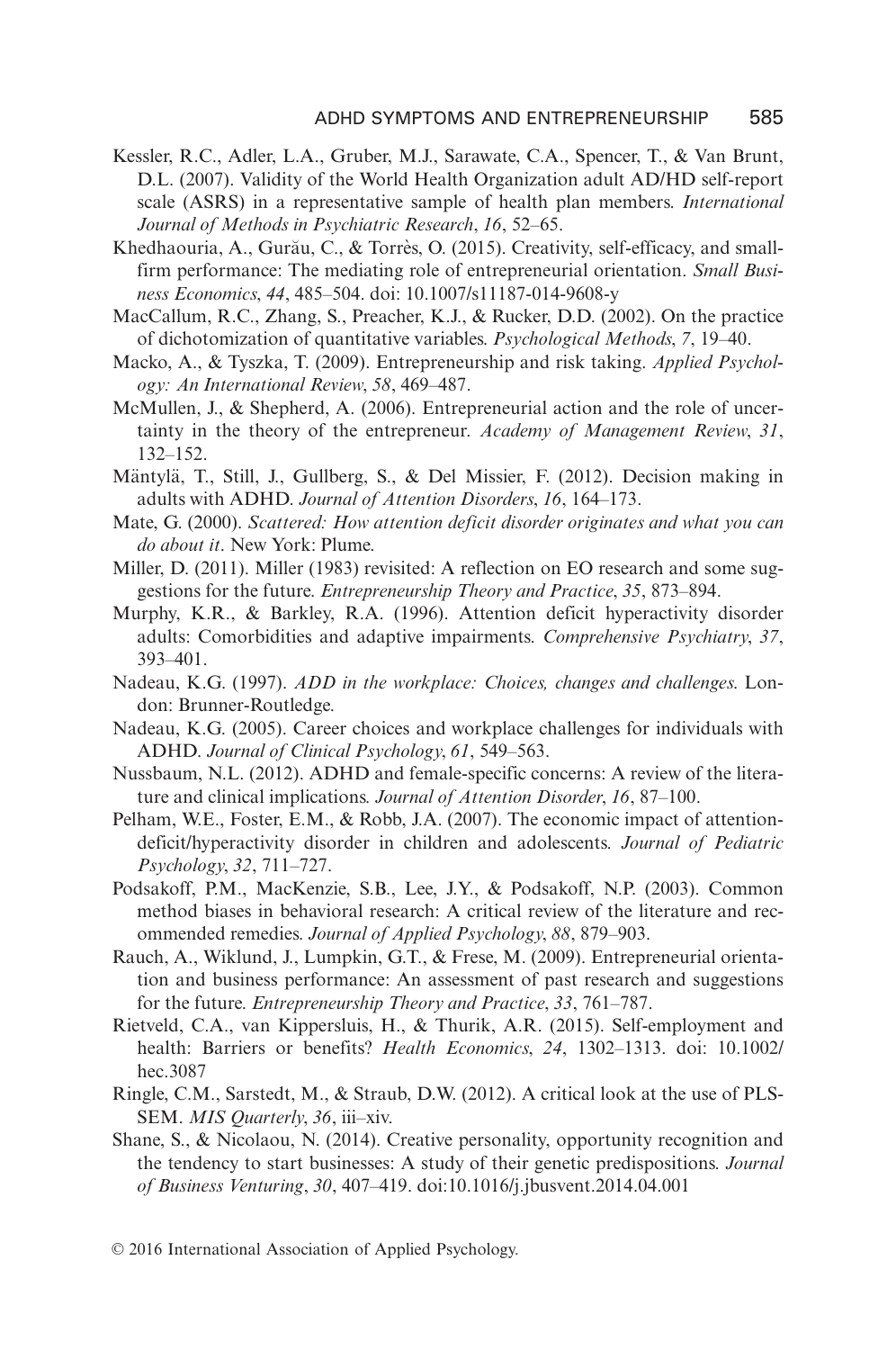- Kessler, R.C., Adler, L.A., Gruber, M.J., Sarawate, C.A., Spencer, T., & Van Brunt, D.L. (2007). Validity of the World Health Organization adult AD/HD self-report scale (ASRS) in a representative sample of health plan members. International Journal of Methods in Psychiatric Research, 16, 52–65.
- Khedhaouria, A., Gurău, C., & Torrès, O. (2015). Creativity, self-efficacy, and smallfirm performance: The mediating role of entrepreneurial orientation. Small Business Economics, 44, 485–504. doi: [10.1007/s11187-014-9608-y](info:doi/10.1007/s11187-014-9608-y)
- MacCallum, R.C., Zhang, S., Preacher, K.J., & Rucker, D.D. (2002). On the practice of dichotomization of quantitative variables. Psychological Methods, 7, 19–40.
- Macko, A., & Tyszka, T. (2009). Entrepreneurship and risk taking. Applied Psychology: An International Review, 58, 469–487.
- McMullen, J., & Shepherd, A. (2006). Entrepreneurial action and the role of uncertainty in the theory of the entrepreneur. Academy of Management Review, 31, 132–152.
- Mäntylä, T., Still, J., Gullberg, S., & Del Missier, F. (2012). Decision making in adults with ADHD. Journal of Attention Disorders, 16, 164–173.
- Mate, G. (2000). Scattered: How attention deficit disorder originates and what you can do about it. New York: Plume.
- Miller, D. (2011). Miller (1983) revisited: A reflection on EO research and some suggestions for the future. Entrepreneurship Theory and Practice, 35, 873–894.
- Murphy, K.R., & Barkley, R.A. (1996). Attention deficit hyperactivity disorder adults: Comorbidities and adaptive impairments. Comprehensive Psychiatry, 37, 393–401.
- Nadeau, K.G. (1997). ADD in the workplace: Choices, changes and challenges. London: Brunner-Routledge.
- Nadeau, K.G. (2005). Career choices and workplace challenges for individuals with ADHD. Journal of Clinical Psychology, 61, 549–563.
- Nussbaum, N.L. (2012). ADHD and female-specific concerns: A review of the literature and clinical implications. Journal of Attention Disorder, 16, 87–100.
- Pelham, W.E., Foster, E.M., & Robb, J.A. (2007). The economic impact of attentiondeficit/hyperactivity disorder in children and adolescents. Journal of Pediatric Psychology, 32, 711–727.
- Podsakoff, P.M., MacKenzie, S.B., Lee, J.Y., & Podsakoff, N.P. (2003). Common method biases in behavioral research: A critical review of the literature and recommended remedies. Journal of Applied Psychology, 88, 879–903.
- Rauch, A., Wiklund, J., Lumpkin, G.T., & Frese, M. (2009). Entrepreneurial orientation and business performance: An assessment of past research and suggestions for the future. Entrepreneurship Theory and Practice, 33, 761–787.
- Rietveld, C.A., van Kippersluis, H., & Thurik, A.R. (2015). Self-employment and health: Barriers or benefits? Health Economics, 24, 1302-1313. doi: [10.1002/](info:doi/10.1002/hec.3087) [hec.3087](info:doi/10.1002/hec.3087)
- Ringle, C.M., Sarstedt, M., & Straub, D.W. (2012). A critical look at the use of PLS-SEM. MIS Quarterly, 36, iii–xiv.
- Shane, S., & Nicolaou, N. (2014). Creative personality, opportunity recognition and the tendency to start businesses: A study of their genetic predispositions. Journal of Business Venturing, 30, 407–419. doi[:10.1016/j.jbusvent.2014.04.001](info:doi/10.1016/j.jbusvent.2014.04.001)

 $\odot$  2016 International Association of Applied Psychology.